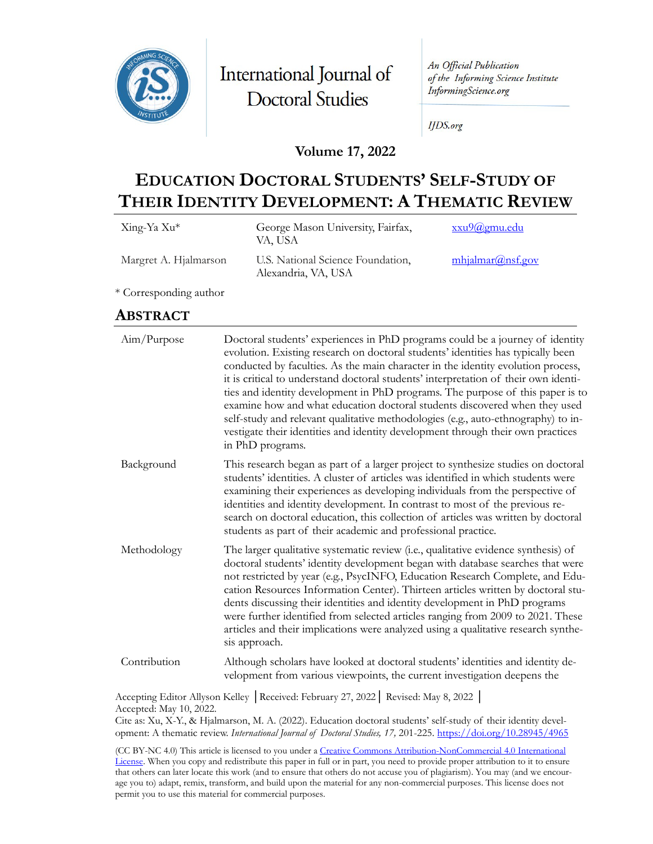

International Journal of **Doctoral Studies** 

An Official Publication of the Informing Science Institute InformingScience.org

**IJDS.org** 

### **Volume 17, 2022**

# **EDUCATION DOCTORAL STUDENTS' SELF-STUDY OF THEIR IDENTITY DEVELOPMENT: A THEMATIC REVIEW**

| Xing-Ya Xu*           | George Mason University, Fairfax,<br>VA, USA             | xxu9@gmu.edu     |
|-----------------------|----------------------------------------------------------|------------------|
| Margret A. Hjalmarson | U.S. National Science Foundation,<br>Alexandria, VA, USA | mhjalmar@nsf.gov |

\* Corresponding author

# **ABSTRACT**

| Aim/Purpose  | Doctoral students' experiences in PhD programs could be a journey of identity<br>evolution. Existing research on doctoral students' identities has typically been<br>conducted by faculties. As the main character in the identity evolution process,<br>it is critical to understand doctoral students' interpretation of their own identi-<br>ties and identity development in PhD programs. The purpose of this paper is to<br>examine how and what education doctoral students discovered when they used<br>self-study and relevant qualitative methodologies (e.g., auto-ethnography) to in-<br>vestigate their identities and identity development through their own practices<br>in PhD programs. |
|--------------|----------------------------------------------------------------------------------------------------------------------------------------------------------------------------------------------------------------------------------------------------------------------------------------------------------------------------------------------------------------------------------------------------------------------------------------------------------------------------------------------------------------------------------------------------------------------------------------------------------------------------------------------------------------------------------------------------------|
| Background   | This research began as part of a larger project to synthesize studies on doctoral<br>students' identities. A cluster of articles was identified in which students were<br>examining their experiences as developing individuals from the perspective of<br>identities and identity development. In contrast to most of the previous re-<br>search on doctoral education, this collection of articles was written by doctoral<br>students as part of their academic and professional practice.                                                                                                                                                                                                            |
| Methodology  | The larger qualitative systematic review (i.e., qualitative evidence synthesis) of<br>doctoral students' identity development began with database searches that were<br>not restricted by year (e.g., PsycINFO, Education Research Complete, and Edu-<br>cation Resources Information Center). Thirteen articles written by doctoral stu-<br>dents discussing their identities and identity development in PhD programs<br>were further identified from selected articles ranging from 2009 to 2021. These<br>articles and their implications were analyzed using a qualitative research synthe-<br>sis approach.                                                                                        |
| Contribution | Although scholars have looked at doctoral students' identities and identity de-<br>velopment from various viewpoints, the current investigation deepens the                                                                                                                                                                                                                                                                                                                                                                                                                                                                                                                                              |

Accepting Editor Allyson Kelley │Received: February 27, 2022│ Revised: May 8, 2022 │ Accepted: May 10, 2022.

Cite as: Xu, X-Y., & Hjalmarson, M. A. (2022). Education doctoral students' self-study of their identity development: A thematic review. *International Journal of Doctoral Studies, 17,* 201-225.<https://doi.org/10.28945/4965>

(CC BY-NC 4.0) This article is licensed to you under a Creative Commons Attribution-[NonCommercial 4.0 International](https://creativecommons.org/licenses/by-nc/4.0/)  [License](https://creativecommons.org/licenses/by-nc/4.0/). When you copy and redistribute this paper in full or in part, you need to provide proper attribution to it to ensure that others can later locate this work (and to ensure that others do not accuse you of plagiarism). You may (and we encourage you to) adapt, remix, transform, and build upon the material for any non-commercial purposes. This license does not permit you to use this material for commercial purposes.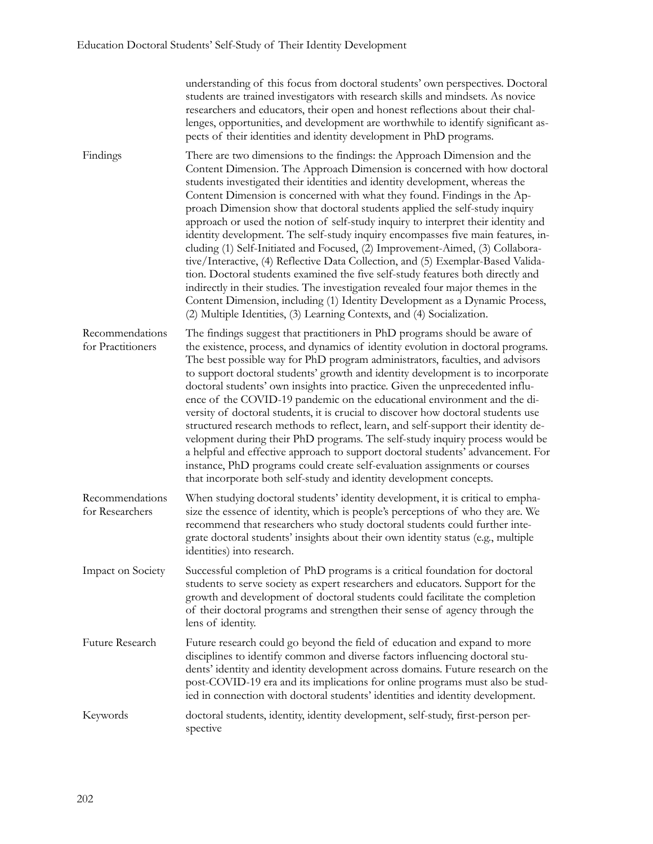|                                      | understanding of this focus from doctoral students' own perspectives. Doctoral<br>students are trained investigators with research skills and mindsets. As novice<br>researchers and educators, their open and honest reflections about their chal-<br>lenges, opportunities, and development are worthwhile to identify significant as-<br>pects of their identities and identity development in PhD programs.                                                                                                                                                                                                                                                                                                                                                                                                                                                                                                                                                                                                                                                               |
|--------------------------------------|-------------------------------------------------------------------------------------------------------------------------------------------------------------------------------------------------------------------------------------------------------------------------------------------------------------------------------------------------------------------------------------------------------------------------------------------------------------------------------------------------------------------------------------------------------------------------------------------------------------------------------------------------------------------------------------------------------------------------------------------------------------------------------------------------------------------------------------------------------------------------------------------------------------------------------------------------------------------------------------------------------------------------------------------------------------------------------|
| Findings                             | There are two dimensions to the findings: the Approach Dimension and the<br>Content Dimension. The Approach Dimension is concerned with how doctoral<br>students investigated their identities and identity development, whereas the<br>Content Dimension is concerned with what they found. Findings in the Ap-<br>proach Dimension show that doctoral students applied the self-study inquiry<br>approach or used the notion of self-study inquiry to interpret their identity and<br>identity development. The self-study inquiry encompasses five main features, in-<br>cluding (1) Self-Initiated and Focused, (2) Improvement-Aimed, (3) Collabora-<br>tive/Interactive, (4) Reflective Data Collection, and (5) Exemplar-Based Valida-<br>tion. Doctoral students examined the five self-study features both directly and<br>indirectly in their studies. The investigation revealed four major themes in the<br>Content Dimension, including (1) Identity Development as a Dynamic Process,<br>(2) Multiple Identities, (3) Learning Contexts, and (4) Socialization. |
| Recommendations<br>for Practitioners | The findings suggest that practitioners in PhD programs should be aware of<br>the existence, process, and dynamics of identity evolution in doctoral programs.<br>The best possible way for PhD program administrators, faculties, and advisors<br>to support doctoral students' growth and identity development is to incorporate<br>doctoral students' own insights into practice. Given the unprecedented influ-<br>ence of the COVID-19 pandemic on the educational environment and the di-<br>versity of doctoral students, it is crucial to discover how doctoral students use<br>structured research methods to reflect, learn, and self-support their identity de-<br>velopment during their PhD programs. The self-study inquiry process would be<br>a helpful and effective approach to support doctoral students' advancement. For<br>instance, PhD programs could create self-evaluation assignments or courses<br>that incorporate both self-study and identity development concepts.                                                                            |
| Recommendations<br>for Researchers   | When studying doctoral students' identity development, it is critical to empha-<br>size the essence of identity, which is people's perceptions of who they are. We<br>recommend that researchers who study doctoral students could further inte-<br>grate doctoral students' insights about their own identity status (e.g., multiple<br>identities) into research.                                                                                                                                                                                                                                                                                                                                                                                                                                                                                                                                                                                                                                                                                                           |
| Impact on Society                    | Successful completion of PhD programs is a critical foundation for doctoral<br>students to serve society as expert researchers and educators. Support for the<br>growth and development of doctoral students could facilitate the completion<br>of their doctoral programs and strengthen their sense of agency through the<br>lens of identity.                                                                                                                                                                                                                                                                                                                                                                                                                                                                                                                                                                                                                                                                                                                              |
| Future Research                      | Future research could go beyond the field of education and expand to more<br>disciplines to identify common and diverse factors influencing doctoral stu-<br>dents' identity and identity development across domains. Future research on the<br>post-COVID-19 era and its implications for online programs must also be stud-<br>ied in connection with doctoral students' identities and identity development.                                                                                                                                                                                                                                                                                                                                                                                                                                                                                                                                                                                                                                                               |
| Keywords                             | doctoral students, identity, identity development, self-study, first-person per-<br>spective                                                                                                                                                                                                                                                                                                                                                                                                                                                                                                                                                                                                                                                                                                                                                                                                                                                                                                                                                                                  |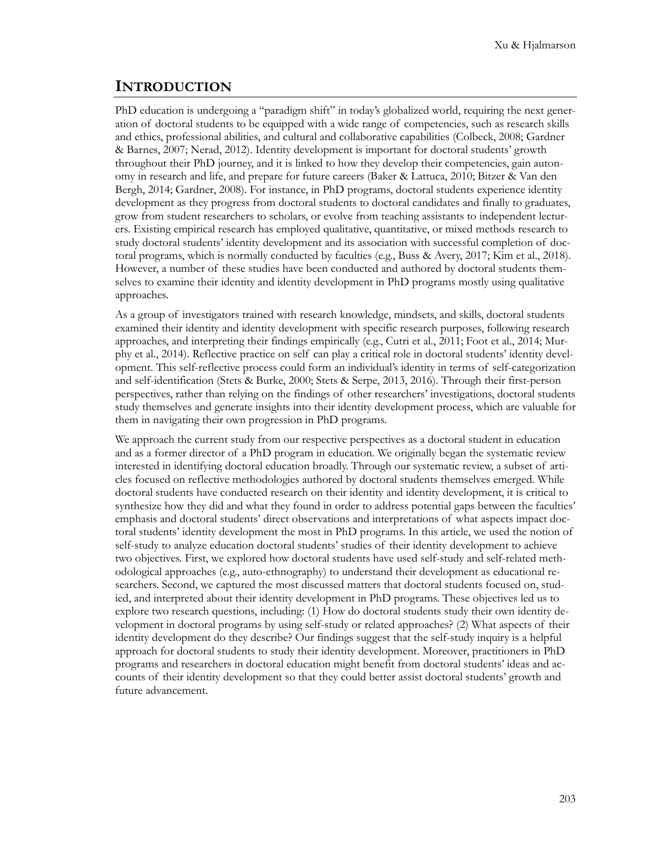### **INTRODUCTION**

PhD education is undergoing a "paradigm shift" in today's globalized world, requiring the next generation of doctoral students to be equipped with a wide range of competencies, such as research skills and ethics, professional abilities, and cultural and collaborative capabilities (Colbeck, 2008; Gardner & Barnes, 2007; Nerad, 2012). Identity development is important for doctoral students' growth throughout their PhD journey, and it is linked to how they develop their competencies, gain autonomy in research and life, and prepare for future careers (Baker & Lattuca, 2010; Bitzer & Van den Bergh, 2014; Gardner, 2008). For instance, in PhD programs, doctoral students experience identity development as they progress from doctoral students to doctoral candidates and finally to graduates, grow from student researchers to scholars, or evolve from teaching assistants to independent lecturers. Existing empirical research has employed qualitative, quantitative, or mixed methods research to study doctoral students' identity development and its association with successful completion of doctoral programs, which is normally conducted by faculties (e.g., Buss & Avery, 2017; Kim et al., 2018). However, a number of these studies have been conducted and authored by doctoral students themselves to examine their identity and identity development in PhD programs mostly using qualitative approaches.

As a group of investigators trained with research knowledge, mindsets, and skills, doctoral students examined their identity and identity development with specific research purposes, following research approaches, and interpreting their findings empirically (e.g., Cutri et al., 2011; Foot et al., 2014; Murphy et al., 2014). Reflective practice on self can play a critical role in doctoral students' identity development. This self-reflective process could form an individual's identity in terms of self-categorization and self-identification (Stets & Burke, 2000; Stets & Serpe, 2013, 2016). Through their first-person perspectives, rather than relying on the findings of other researchers' investigations, doctoral students study themselves and generate insights into their identity development process, which are valuable for them in navigating their own progression in PhD programs.

We approach the current study from our respective perspectives as a doctoral student in education and as a former director of a PhD program in education. We originally began the systematic review interested in identifying doctoral education broadly. Through our systematic review, a subset of articles focused on reflective methodologies authored by doctoral students themselves emerged. While doctoral students have conducted research on their identity and identity development, it is critical to synthesize how they did and what they found in order to address potential gaps between the faculties' emphasis and doctoral students' direct observations and interpretations of what aspects impact doctoral students' identity development the most in PhD programs. In this article, we used the notion of self-study to analyze education doctoral students' studies of their identity development to achieve two objectives. First, we explored how doctoral students have used self-study and self-related methodological approaches (e.g., auto-ethnography) to understand their development as educational researchers. Second, we captured the most discussed matters that doctoral students focused on, studied, and interpreted about their identity development in PhD programs. These objectives led us to explore two research questions, including: (1) How do doctoral students study their own identity development in doctoral programs by using self-study or related approaches? (2) What aspects of their identity development do they describe? Our findings suggest that the self-study inquiry is a helpful approach for doctoral students to study their identity development. Moreover, practitioners in PhD programs and researchers in doctoral education might benefit from doctoral students' ideas and accounts of their identity development so that they could better assist doctoral students' growth and future advancement.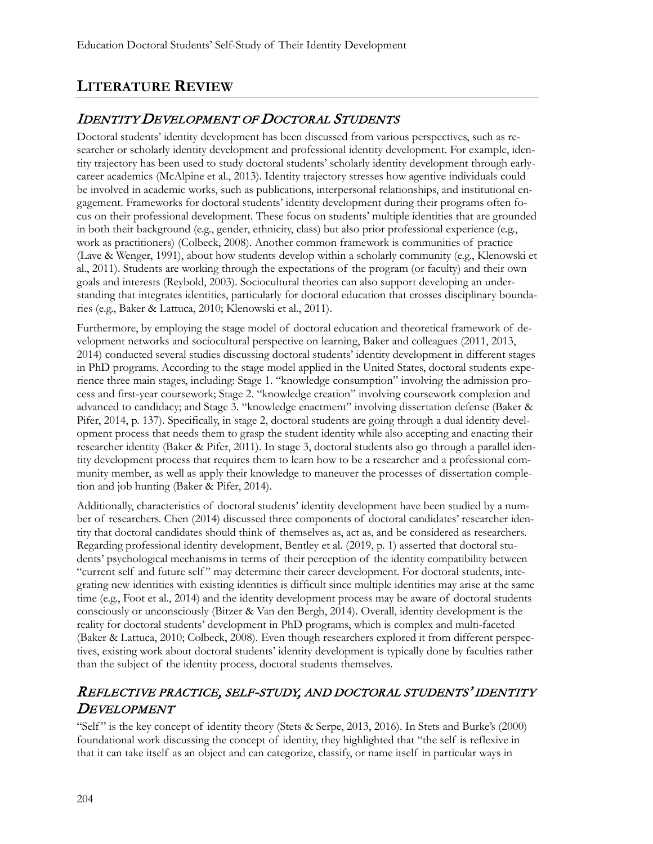# **LITERATURE REVIEW**

# IDENTITY DEVELOPMENT OF DOCTORAL STUDENTS

Doctoral students' identity development has been discussed from various perspectives, such as researcher or scholarly identity development and professional identity development. For example, identity trajectory has been used to study doctoral students' scholarly identity development through earlycareer academics (McAlpine et al., 2013). Identity trajectory stresses how agentive individuals could be involved in academic works, such as publications, interpersonal relationships, and institutional engagement. Frameworks for doctoral students' identity development during their programs often focus on their professional development. These focus on students' multiple identities that are grounded in both their background (e.g., gender, ethnicity, class) but also prior professional experience (e.g., work as practitioners) (Colbeck, 2008). Another common framework is communities of practice (Lave & Wenger, 1991), about how students develop within a scholarly community (e.g., Klenowski et al., 2011). Students are working through the expectations of the program (or faculty) and their own goals and interests (Reybold, 2003). Sociocultural theories can also support developing an understanding that integrates identities, particularly for doctoral education that crosses disciplinary boundaries (e.g., Baker & Lattuca, 2010; Klenowski et al., 2011).

Furthermore, by employing the stage model of doctoral education and theoretical framework of development networks and sociocultural perspective on learning, Baker and colleagues (2011, 2013, 2014) conducted several studies discussing doctoral students' identity development in different stages in PhD programs. According to the stage model applied in the United States, doctoral students experience three main stages, including: Stage 1. "knowledge consumption" involving the admission process and first-year coursework; Stage 2. "knowledge creation" involving coursework completion and advanced to candidacy; and Stage 3. "knowledge enactment" involving dissertation defense (Baker & Pifer, 2014, p. 137). Specifically, in stage 2, doctoral students are going through a dual identity development process that needs them to grasp the student identity while also accepting and enacting their researcher identity (Baker & Pifer, 2011). In stage 3, doctoral students also go through a parallel identity development process that requires them to learn how to be a researcher and a professional community member, as well as apply their knowledge to maneuver the processes of dissertation completion and job hunting (Baker & Pifer, 2014).

Additionally, characteristics of doctoral students' identity development have been studied by a number of researchers. Chen (2014) discussed three components of doctoral candidates' researcher identity that doctoral candidates should think of themselves as, act as, and be considered as researchers. Regarding professional identity development, Bentley et al. (2019, p. 1) asserted that doctoral students' psychological mechanisms in terms of their perception of the identity compatibility between "current self and future self " may determine their career development. For doctoral students, integrating new identities with existing identities is difficult since multiple identities may arise at the same time (e.g., Foot et al., 2014) and the identity development process may be aware of doctoral students consciously or unconsciously (Bitzer & Van den Bergh, 2014). Overall, identity development is the reality for doctoral students' development in PhD programs, which is complex and multi-faceted (Baker & Lattuca, 2010; Colbeck, 2008). Even though researchers explored it from different perspectives, existing work about doctoral students' identity development is typically done by faculties rather than the subject of the identity process, doctoral students themselves.

# REFLECTIVE PRACTICE, SELF-STUDY, AND DOCTORAL STUDENTS' IDENTITY **DEVELOPMENT**

"Self" is the key concept of identity theory (Stets & Serpe, 2013, 2016). In Stets and Burke's (2000) foundational work discussing the concept of identity, they highlighted that "the self is reflexive in that it can take itself as an object and can categorize, classify, or name itself in particular ways in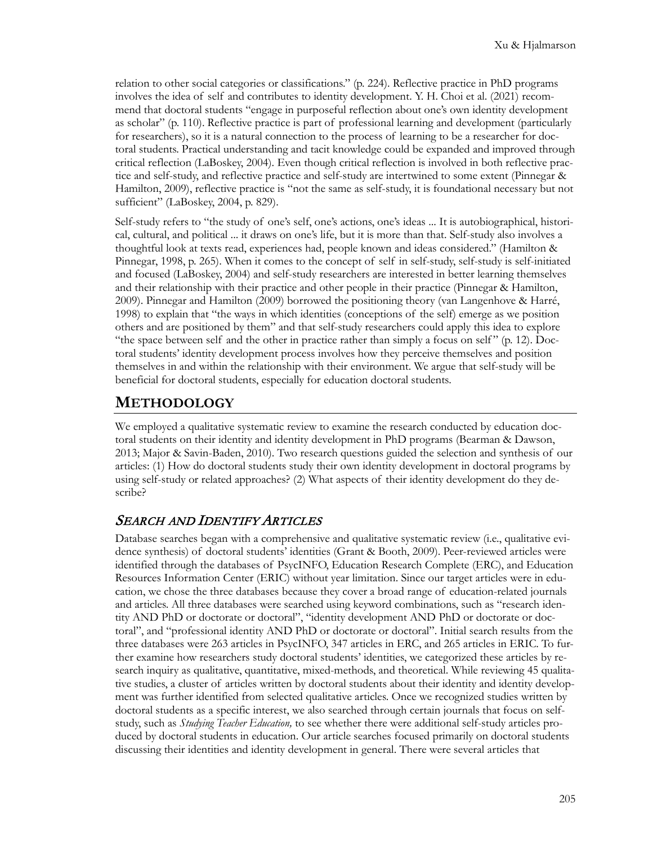relation to other social categories or classifications." (p. 224). Reflective practice in PhD programs involves the idea of self and contributes to identity development. Y. H. Choi et al. (2021) recommend that doctoral students "engage in purposeful reflection about one's own identity development as scholar" (p. 110). Reflective practice is part of professional learning and development (particularly for researchers), so it is a natural connection to the process of learning to be a researcher for doctoral students. Practical understanding and tacit knowledge could be expanded and improved through critical reflection (LaBoskey, 2004). Even though critical reflection is involved in both reflective practice and self-study, and reflective practice and self-study are intertwined to some extent (Pinnegar & Hamilton, 2009), reflective practice is "not the same as self-study, it is foundational necessary but not sufficient" (LaBoskey, 2004, p. 829).

Self-study refers to "the study of one's self, one's actions, one's ideas ... It is autobiographical, historical, cultural, and political ... it draws on one's life, but it is more than that. Self-study also involves a thoughtful look at texts read, experiences had, people known and ideas considered." (Hamilton & Pinnegar, 1998, p. 265). When it comes to the concept of self in self-study, self-study is self-initiated and focused (LaBoskey, 2004) and self-study researchers are interested in better learning themselves and their relationship with their practice and other people in their practice (Pinnegar & Hamilton, 2009). Pinnegar and Hamilton (2009) borrowed the positioning theory (van Langenhove & Harré, 1998) to explain that "the ways in which identities (conceptions of the self) emerge as we position others and are positioned by them" and that self-study researchers could apply this idea to explore "the space between self and the other in practice rather than simply a focus on self " (p. 12). Doctoral students' identity development process involves how they perceive themselves and position themselves in and within the relationship with their environment. We argue that self-study will be beneficial for doctoral students, especially for education doctoral students.

### **METHODOLOGY**

We employed a qualitative systematic review to examine the research conducted by education doctoral students on their identity and identity development in PhD programs (Bearman & Dawson, 2013; Major & Savin-Baden, 2010). Two research questions guided the selection and synthesis of our articles: (1) How do doctoral students study their own identity development in doctoral programs by using self-study or related approaches? (2) What aspects of their identity development do they describe?

#### SEARCH AND IDENTIFY ARTICLES

Database searches began with a comprehensive and qualitative systematic review (i.e., qualitative evidence synthesis) of doctoral students' identities (Grant & Booth, 2009). Peer-reviewed articles were identified through the databases of PsycINFO, Education Research Complete (ERC), and Education Resources Information Center (ERIC) without year limitation. Since our target articles were in education, we chose the three databases because they cover a broad range of education-related journals and articles. All three databases were searched using keyword combinations, such as "research identity AND PhD or doctorate or doctoral", "identity development AND PhD or doctorate or doctoral", and "professional identity AND PhD or doctorate or doctoral". Initial search results from the three databases were 263 articles in PsycINFO, 347 articles in ERC, and 265 articles in ERIC. To further examine how researchers study doctoral students' identities, we categorized these articles by research inquiry as qualitative, quantitative, mixed-methods, and theoretical. While reviewing 45 qualitative studies, a cluster of articles written by doctoral students about their identity and identity development was further identified from selected qualitative articles. Once we recognized studies written by doctoral students as a specific interest, we also searched through certain journals that focus on selfstudy, such as *Studying Teacher Education,* to see whether there were additional self-study articles produced by doctoral students in education. Our article searches focused primarily on doctoral students discussing their identities and identity development in general. There were several articles that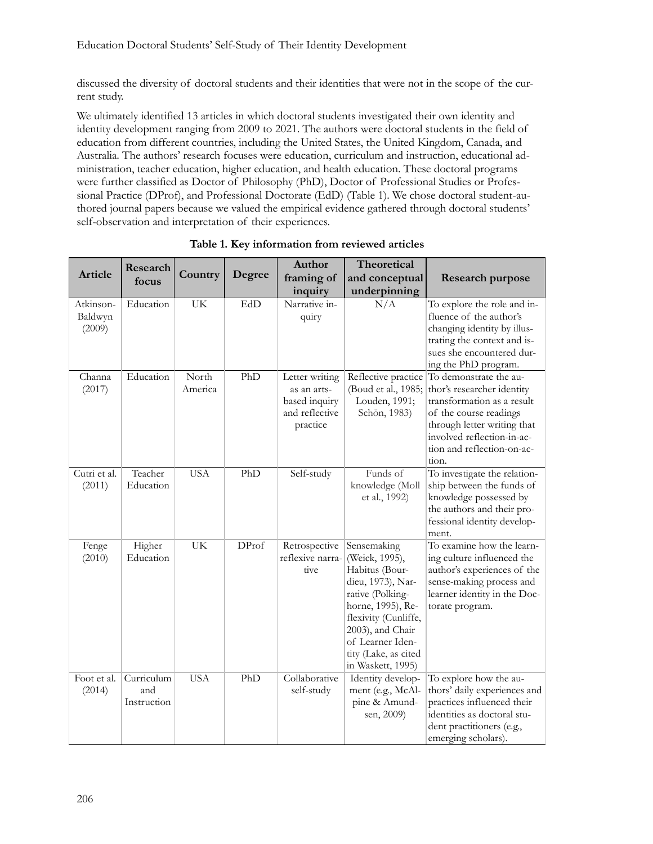discussed the diversity of doctoral students and their identities that were not in the scope of the current study.

We ultimately identified 13 articles in which doctoral students investigated their own identity and identity development ranging from 2009 to 2021. The authors were doctoral students in the field of education from different countries, including the United States, the United Kingdom, Canada, and Australia. The authors' research focuses were education, curriculum and instruction, educational administration, teacher education, higher education, and health education. These doctoral programs were further classified as Doctor of Philosophy (PhD), Doctor of Professional Studies or Professional Practice (DProf), and Professional Doctorate (EdD) (Table 1). We chose doctoral student-authored journal papers because we valued the empirical evidence gathered through doctoral students' self-observation and interpretation of their experiences.

|                                | Research                         |                  |        | Author                                                                       | Theoretical                                                                                                                                                                                                                |                                                                                                                                                                                                                  |
|--------------------------------|----------------------------------|------------------|--------|------------------------------------------------------------------------------|----------------------------------------------------------------------------------------------------------------------------------------------------------------------------------------------------------------------------|------------------------------------------------------------------------------------------------------------------------------------------------------------------------------------------------------------------|
| Article                        | focus                            | Country          | Degree | framing of                                                                   | and conceptual                                                                                                                                                                                                             | <b>Research purpose</b>                                                                                                                                                                                          |
|                                |                                  |                  |        | inquiry                                                                      | underpinning                                                                                                                                                                                                               |                                                                                                                                                                                                                  |
| Atkinson-<br>Baldwyn<br>(2009) | Education                        | UK               | EdD    | Narrative in-<br>quiry                                                       | N/A                                                                                                                                                                                                                        | To explore the role and in-<br>fluence of the author's<br>changing identity by illus-<br>trating the context and is-<br>sues she encountered dur-<br>ing the PhD program.                                        |
| Channa<br>(2017)               | Education                        | North<br>America | PhD    | Letter writing<br>as an arts-<br>based inquiry<br>and reflective<br>practice | Reflective practice<br>(Boud et al., 1985;<br>Louden, 1991;<br>Schön, 1983)                                                                                                                                                | To demonstrate the au-<br>thor's researcher identity<br>transformation as a result<br>of the course readings<br>through letter writing that<br>involved reflection-in-ac-<br>tion and reflection-on-ac-<br>tion. |
| Cutri et al.<br>(2011)         | Teacher<br>Education             | <b>USA</b>       | PhD    | Self-study                                                                   | Funds of<br>knowledge (Moll<br>et al., 1992)                                                                                                                                                                               | To investigate the relation-<br>ship between the funds of<br>knowledge possessed by<br>the authors and their pro-<br>fessional identity develop-<br>ment.                                                        |
| Fenge<br>(2010)                | Higher<br>Education              | <b>UK</b>        | DProf  | Retrospective<br>reflexive narra-<br>tive                                    | Sensemaking<br>(Weick, 1995),<br>Habitus (Bour-<br>dieu, 1973), Nar-<br>rative (Polking-<br>horne, 1995), Re-<br>flexivity (Cunliffe,<br>2003), and Chair<br>of Learner Iden-<br>tity (Lake, as cited<br>in Waskett, 1995) | To examine how the learn-<br>ing culture influenced the<br>author's experiences of the<br>sense-making process and<br>learner identity in the Doc-<br>torate program.                                            |
| Foot et al.<br>(2014)          | Curriculum<br>and<br>Instruction | <b>USA</b>       | PhD    | Collaborative<br>self-study                                                  | Identity develop-<br>ment (e.g., McAl-<br>pine & Amund-<br>sen, 2009)                                                                                                                                                      | To explore how the au-<br>thors' daily experiences and<br>practices influenced their<br>identities as doctoral stu-<br>dent practitioners (e.g.,<br>emerging scholars).                                          |

|  |  | Table 1. Key information from reviewed articles |  |  |  |
|--|--|-------------------------------------------------|--|--|--|
|--|--|-------------------------------------------------|--|--|--|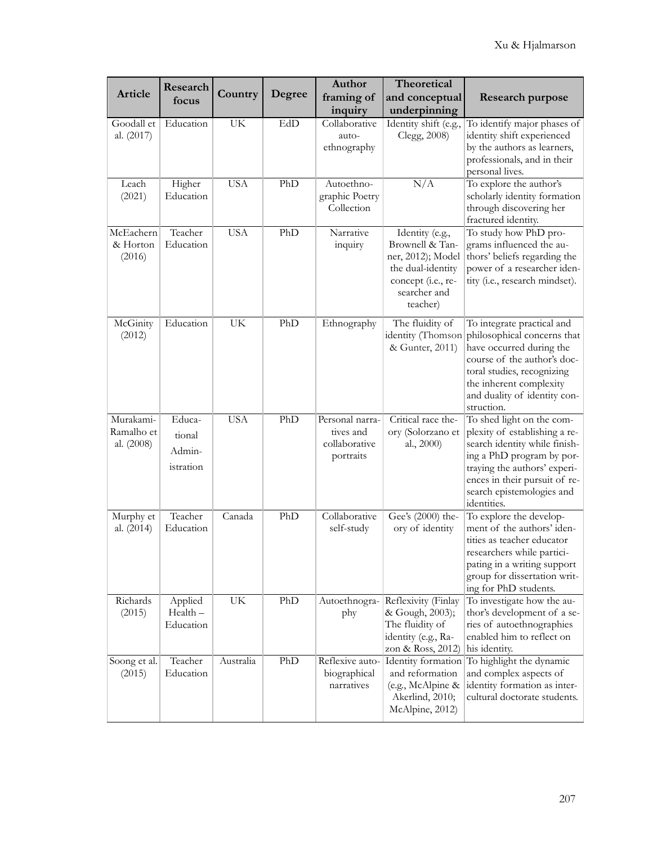|                                       | Research                                |                                 |        | Author                                                     | Theoretical                                                                                                                    |                                                                                                                                                                                                                                       |
|---------------------------------------|-----------------------------------------|---------------------------------|--------|------------------------------------------------------------|--------------------------------------------------------------------------------------------------------------------------------|---------------------------------------------------------------------------------------------------------------------------------------------------------------------------------------------------------------------------------------|
| Article                               | focus                                   | Country                         | Degree | framing of                                                 | and conceptual                                                                                                                 | <b>Research purpose</b>                                                                                                                                                                                                               |
|                                       |                                         |                                 |        | inquiry                                                    | underpinning                                                                                                                   |                                                                                                                                                                                                                                       |
| Goodall et<br>al. (2017)              | Education                               | UK                              | EdD    | Collaborative<br>auto-<br>ethnography                      | Identity shift (e.g.,<br>Clegg, 2008)                                                                                          | To identify major phases of<br>identity shift experienced<br>by the authors as learners,<br>professionals, and in their<br>personal lives.                                                                                            |
| Leach<br>(2021)                       | Higher<br>Education                     | <b>USA</b>                      | PhD    | Autoethno-<br>graphic Poetry<br>Collection                 | N/A                                                                                                                            | To explore the author's<br>scholarly identity formation<br>through discovering her<br>fractured identity.                                                                                                                             |
| McEachern<br>& Horton<br>(2016)       | Teacher<br>Education                    | <b>USA</b>                      | PhD    | Narrative<br>inquiry                                       | Identity (e.g.,<br>Brownell & Tan-<br>ner, 2012); Model<br>the dual-identity<br>concept (i.e., re-<br>searcher and<br>teacher) | To study how PhD pro-<br>grams influenced the au-<br>thors' beliefs regarding the<br>power of a researcher iden-<br>tity (i.e., research mindset).                                                                                    |
| McGinity<br>(2012)                    | Education                               | UK                              | PhD    | Ethnography                                                | The fluidity of<br>identity (Thomson<br>& Gunter, 2011)                                                                        | To integrate practical and<br>philosophical concerns that<br>have occurred during the<br>course of the author's doc-<br>toral studies, recognizing<br>the inherent complexity<br>and duality of identity con-<br>struction.           |
| Murakami-<br>Ramalho et<br>al. (2008) | Educa-<br>tional<br>Admin-<br>istration | <b>USA</b>                      | PhD    | Personal narra-<br>tives and<br>collaborative<br>portraits | Critical race the-<br>ory (Solorzano et<br>al., 2000)                                                                          | To shed light on the com-<br>plexity of establishing a re-<br>search identity while finish-<br>ing a PhD program by por-<br>traying the authors' experi-<br>ences in their pursuit of re-<br>search epistemologies and<br>identities. |
| Murphy et<br>al. (2014)               | Teacher<br>Education                    | Canada                          | PhD    | Collaborative<br>self-study                                | Gee's (2000) the-<br>ory of identity                                                                                           | To explore the develop-<br>ment of the authors' iden-<br>tities as teacher educator<br>researchers while partici-<br>pating in a writing support<br>group for dissertation writ-<br>ing for PhD students.                             |
| Richards<br>(2015)                    | Applied<br>Health-<br>Education         | $\ensuremath{\text{UK}}\xspace$ | PhD    | Autoethnogra-<br>phy                                       | Reflexivity (Finlay<br>& Gough, 2003);<br>The fluidity of<br>identity (e.g., Ra-<br>zon & Ross, 2012)                          | To investigate how the au-<br>thor's development of a se-<br>ries of autoethnographies<br>enabled him to reflect on<br>his identity.                                                                                                  |
| Soong et al.<br>(2015)                | Teacher<br>Education                    | Australia                       | PhD    | Reflexive auto-<br>biographical<br>narratives              | and reformation<br>(e.g., McAlpine &<br>Akerlind, 2010;<br>McAlpine, 2012)                                                     | Identity formation To highlight the dynamic<br>and complex aspects of<br>identity formation as inter-<br>cultural doctorate students.                                                                                                 |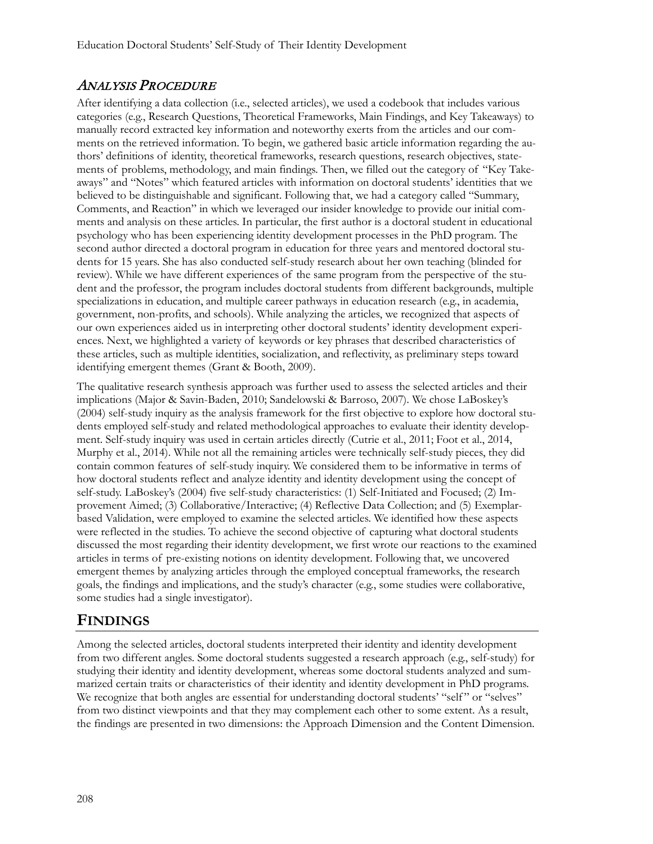# ANALYSIS PROCEDURE

After identifying a data collection (i.e., selected articles), we used a codebook that includes various categories (e.g., Research Questions, Theoretical Frameworks, Main Findings, and Key Takeaways) to manually record extracted key information and noteworthy exerts from the articles and our comments on the retrieved information. To begin, we gathered basic article information regarding the authors' definitions of identity, theoretical frameworks, research questions, research objectives, statements of problems, methodology, and main findings. Then, we filled out the category of "Key Takeaways" and "Notes" which featured articles with information on doctoral students' identities that we believed to be distinguishable and significant. Following that, we had a category called "Summary, Comments, and Reaction" in which we leveraged our insider knowledge to provide our initial comments and analysis on these articles. In particular, the first author is a doctoral student in educational psychology who has been experiencing identity development processes in the PhD program. The second author directed a doctoral program in education for three years and mentored doctoral students for 15 years. She has also conducted self-study research about her own teaching (blinded for review). While we have different experiences of the same program from the perspective of the student and the professor, the program includes doctoral students from different backgrounds, multiple specializations in education, and multiple career pathways in education research (e.g., in academia, government, non-profits, and schools). While analyzing the articles, we recognized that aspects of our own experiences aided us in interpreting other doctoral students' identity development experiences. Next, we highlighted a variety of keywords or key phrases that described characteristics of these articles, such as multiple identities, socialization, and reflectivity, as preliminary steps toward identifying emergent themes (Grant & Booth, 2009).

The qualitative research synthesis approach was further used to assess the selected articles and their implications (Major & Savin-Baden, 2010; Sandelowski & Barroso, 2007). We chose LaBoskey's (2004) self-study inquiry as the analysis framework for the first objective to explore how doctoral students employed self-study and related methodological approaches to evaluate their identity development. Self-study inquiry was used in certain articles directly (Cutrie et al., 2011; Foot et al., 2014, Murphy et al., 2014). While not all the remaining articles were technically self-study pieces, they did contain common features of self-study inquiry. We considered them to be informative in terms of how doctoral students reflect and analyze identity and identity development using the concept of self-study. LaBoskey's (2004) five self-study characteristics: (1) Self-Initiated and Focused; (2) Improvement Aimed; (3) Collaborative/Interactive; (4) Reflective Data Collection; and (5) Exemplarbased Validation, were employed to examine the selected articles. We identified how these aspects were reflected in the studies. To achieve the second objective of capturing what doctoral students discussed the most regarding their identity development, we first wrote our reactions to the examined articles in terms of pre-existing notions on identity development. Following that, we uncovered emergent themes by analyzing articles through the employed conceptual frameworks, the research goals, the findings and implications, and the study's character (e.g., some studies were collaborative, some studies had a single investigator).

# **FINDINGS**

Among the selected articles, doctoral students interpreted their identity and identity development from two different angles. Some doctoral students suggested a research approach (e.g., self-study) for studying their identity and identity development, whereas some doctoral students analyzed and summarized certain traits or characteristics of their identity and identity development in PhD programs. We recognize that both angles are essential for understanding doctoral students' "self" or "selves" from two distinct viewpoints and that they may complement each other to some extent. As a result, the findings are presented in two dimensions: the Approach Dimension and the Content Dimension.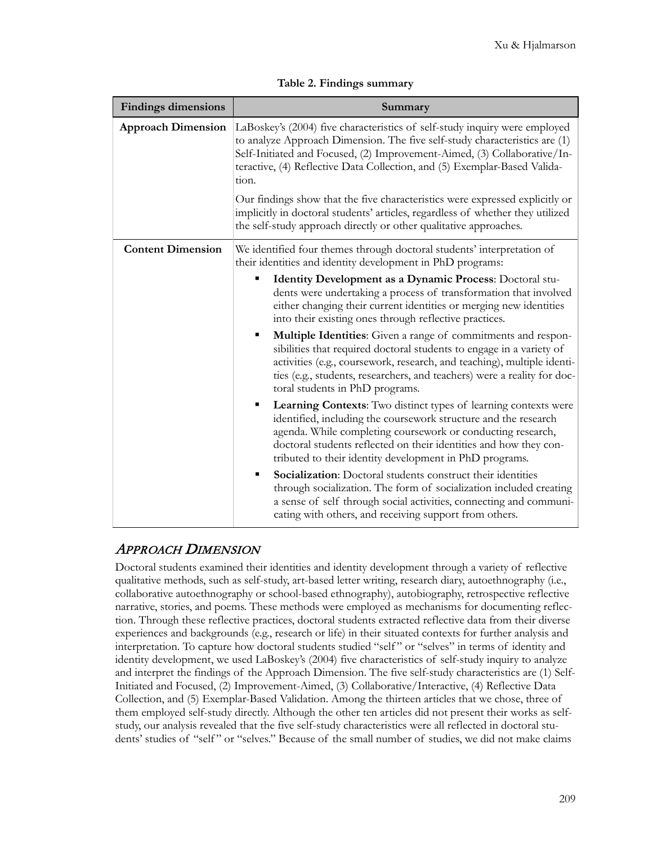| <b>Findings dimensions</b> | Summary                                                                                                                                                                                                                                                                                                                                                                                                                                                                                                                                                           |  |  |  |  |
|----------------------------|-------------------------------------------------------------------------------------------------------------------------------------------------------------------------------------------------------------------------------------------------------------------------------------------------------------------------------------------------------------------------------------------------------------------------------------------------------------------------------------------------------------------------------------------------------------------|--|--|--|--|
| <b>Approach Dimension</b>  | LaBoskey's (2004) five characteristics of self-study inquiry were employed<br>to analyze Approach Dimension. The five self-study characteristics are (1)<br>Self-Initiated and Focused, (2) Improvement-Aimed, (3) Collaborative/In-<br>teractive, (4) Reflective Data Collection, and (5) Exemplar-Based Valida-<br>tion.<br>Our findings show that the five characteristics were expressed explicitly or<br>implicitly in doctoral students' articles, regardless of whether they utilized<br>the self-study approach directly or other qualitative approaches. |  |  |  |  |
| <b>Content Dimension</b>   | We identified four themes through doctoral students' interpretation of<br>their identities and identity development in PhD programs:                                                                                                                                                                                                                                                                                                                                                                                                                              |  |  |  |  |
|                            | Identity Development as a Dynamic Process: Doctoral stu-<br>п<br>dents were undertaking a process of transformation that involved<br>either changing their current identities or merging new identities<br>into their existing ones through reflective practices.<br>Multiple Identities: Given a range of commitments and respon-<br>٠                                                                                                                                                                                                                           |  |  |  |  |
|                            | sibilities that required doctoral students to engage in a variety of<br>activities (e.g., coursework, research, and teaching), multiple identi-<br>ties (e.g., students, researchers, and teachers) were a reality for doc-<br>toral students in PhD programs.                                                                                                                                                                                                                                                                                                    |  |  |  |  |
|                            | <b>Learning Contexts:</b> Two distinct types of learning contexts were<br>٠<br>identified, including the coursework structure and the research<br>agenda. While completing coursework or conducting research,<br>doctoral students reflected on their identities and how they con-<br>tributed to their identity development in PhD programs.                                                                                                                                                                                                                     |  |  |  |  |
|                            | Socialization: Doctoral students construct their identities<br>$\blacksquare$<br>through socialization. The form of socialization included creating<br>a sense of self through social activities, connecting and communi-<br>cating with others, and receiving support from others.                                                                                                                                                                                                                                                                               |  |  |  |  |

| Table 2. Findings summary |  |
|---------------------------|--|
|---------------------------|--|

# APPROACH DIMENSION

Doctoral students examined their identities and identity development through a variety of reflective qualitative methods, such as self-study, art-based letter writing, research diary, autoethnography (i.e., collaborative autoethnography or school-based ethnography), autobiography, retrospective reflective narrative, stories, and poems. These methods were employed as mechanisms for documenting reflection. Through these reflective practices, doctoral students extracted reflective data from their diverse experiences and backgrounds (e.g., research or life) in their situated contexts for further analysis and interpretation. To capture how doctoral students studied "self" or "selves" in terms of identity and identity development, we used LaBoskey's (2004) five characteristics of self-study inquiry to analyze and interpret the findings of the Approach Dimension. The five self-study characteristics are (1) Self-Initiated and Focused, (2) Improvement-Aimed, (3) Collaborative/Interactive, (4) Reflective Data Collection, and (5) Exemplar-Based Validation. Among the thirteen articles that we chose, three of them employed self-study directly. Although the other ten articles did not present their works as selfstudy, our analysis revealed that the five self-study characteristics were all reflected in doctoral students' studies of "self" or "selves." Because of the small number of studies, we did not make claims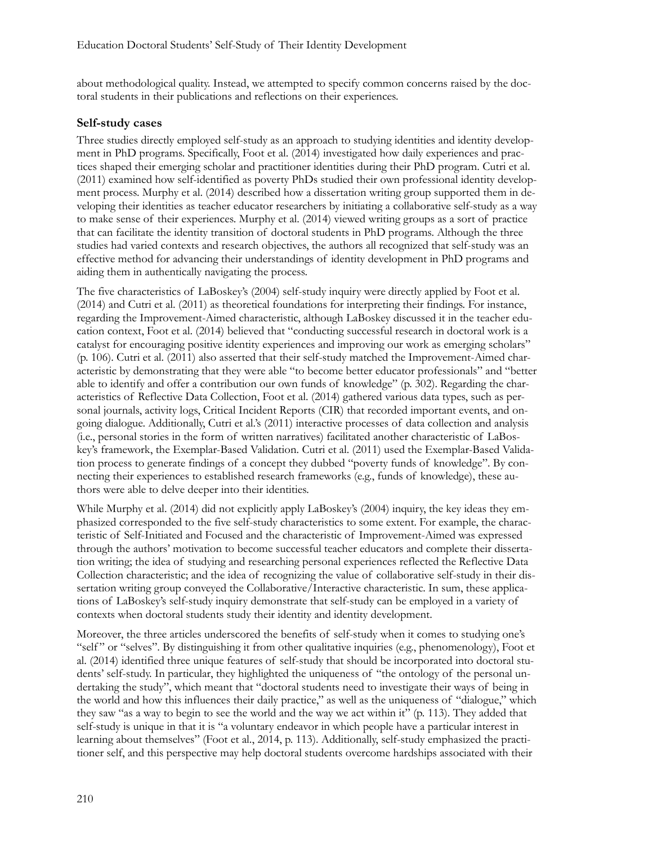about methodological quality. Instead, we attempted to specify common concerns raised by the doctoral students in their publications and reflections on their experiences.

#### **Self-study cases**

Three studies directly employed self-study as an approach to studying identities and identity development in PhD programs. Specifically, Foot et al. (2014) investigated how daily experiences and practices shaped their emerging scholar and practitioner identities during their PhD program. Cutri et al. (2011) examined how self-identified as poverty PhDs studied their own professional identity development process. Murphy et al. (2014) described how a dissertation writing group supported them in developing their identities as teacher educator researchers by initiating a collaborative self-study as a way to make sense of their experiences. Murphy et al. (2014) viewed writing groups as a sort of practice that can facilitate the identity transition of doctoral students in PhD programs. Although the three studies had varied contexts and research objectives, the authors all recognized that self-study was an effective method for advancing their understandings of identity development in PhD programs and aiding them in authentically navigating the process.

The five characteristics of LaBoskey's (2004) self-study inquiry were directly applied by Foot et al. (2014) and Cutri et al. (2011) as theoretical foundations for interpreting their findings. For instance, regarding the Improvement-Aimed characteristic, although LaBoskey discussed it in the teacher education context, Foot et al. (2014) believed that "conducting successful research in doctoral work is a catalyst for encouraging positive identity experiences and improving our work as emerging scholars" (p. 106). Cutri et al. (2011) also asserted that their self-study matched the Improvement-Aimed characteristic by demonstrating that they were able "to become better educator professionals" and "better able to identify and offer a contribution our own funds of knowledge" (p. 302). Regarding the characteristics of Reflective Data Collection, Foot et al. (2014) gathered various data types, such as personal journals, activity logs, Critical Incident Reports (CIR) that recorded important events, and ongoing dialogue. Additionally, Cutri et al.'s (2011) interactive processes of data collection and analysis (i.e., personal stories in the form of written narratives) facilitated another characteristic of LaBoskey's framework, the Exemplar-Based Validation. Cutri et al. (2011) used the Exemplar-Based Validation process to generate findings of a concept they dubbed "poverty funds of knowledge". By connecting their experiences to established research frameworks (e.g., funds of knowledge), these authors were able to delve deeper into their identities.

While Murphy et al. (2014) did not explicitly apply LaBoskey's (2004) inquiry, the key ideas they emphasized corresponded to the five self-study characteristics to some extent. For example, the characteristic of Self-Initiated and Focused and the characteristic of Improvement-Aimed was expressed through the authors' motivation to become successful teacher educators and complete their dissertation writing; the idea of studying and researching personal experiences reflected the Reflective Data Collection characteristic; and the idea of recognizing the value of collaborative self-study in their dissertation writing group conveyed the Collaborative/Interactive characteristic. In sum, these applications of LaBoskey's self-study inquiry demonstrate that self-study can be employed in a variety of contexts when doctoral students study their identity and identity development.

Moreover, the three articles underscored the benefits of self-study when it comes to studying one's "self" or "selves". By distinguishing it from other qualitative inquiries (e.g., phenomenology), Foot et al. (2014) identified three unique features of self-study that should be incorporated into doctoral students' self-study. In particular, they highlighted the uniqueness of "the ontology of the personal undertaking the study", which meant that "doctoral students need to investigate their ways of being in the world and how this influences their daily practice," as well as the uniqueness of "dialogue," which they saw "as a way to begin to see the world and the way we act within it" (p. 113). They added that self-study is unique in that it is "a voluntary endeavor in which people have a particular interest in learning about themselves" (Foot et al., 2014, p. 113). Additionally, self-study emphasized the practitioner self, and this perspective may help doctoral students overcome hardships associated with their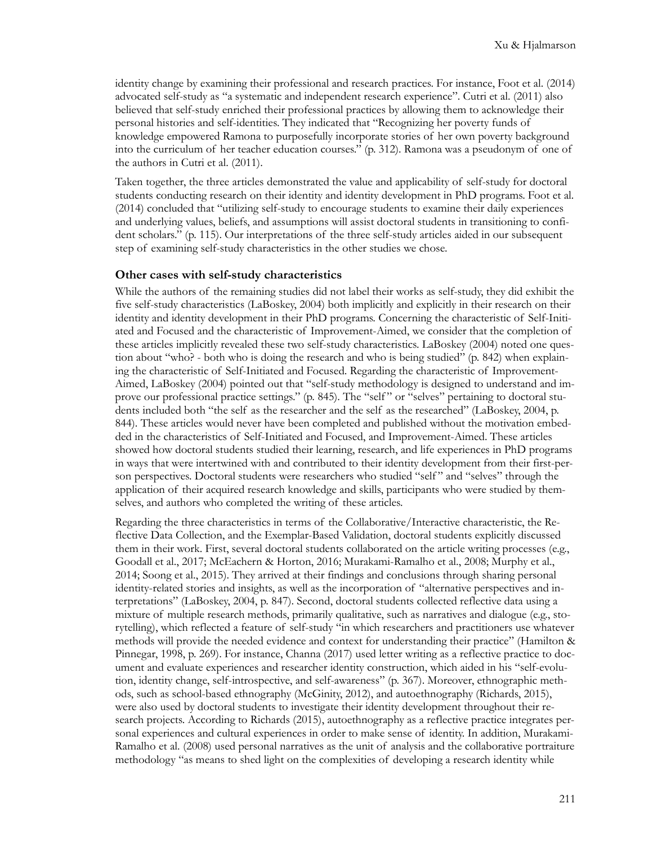identity change by examining their professional and research practices. For instance, Foot et al. (2014) advocated self-study as "a systematic and independent research experience". Cutri et al. (2011) also believed that self-study enriched their professional practices by allowing them to acknowledge their personal histories and self-identities. They indicated that "Recognizing her poverty funds of knowledge empowered Ramona to purposefully incorporate stories of her own poverty background into the curriculum of her teacher education courses." (p. 312). Ramona was a pseudonym of one of the authors in Cutri et al. (2011).

Taken together, the three articles demonstrated the value and applicability of self-study for doctoral students conducting research on their identity and identity development in PhD programs. Foot et al. (2014) concluded that "utilizing self-study to encourage students to examine their daily experiences and underlying values, beliefs, and assumptions will assist doctoral students in transitioning to confident scholars." (p. 115). Our interpretations of the three self-study articles aided in our subsequent step of examining self-study characteristics in the other studies we chose.

#### **Other cases with self-study characteristics**

While the authors of the remaining studies did not label their works as self-study, they did exhibit the five self-study characteristics (LaBoskey, 2004) both implicitly and explicitly in their research on their identity and identity development in their PhD programs. Concerning the characteristic of Self-Initiated and Focused and the characteristic of Improvement-Aimed, we consider that the completion of these articles implicitly revealed these two self-study characteristics. LaBoskey (2004) noted one question about "who? - both who is doing the research and who is being studied" (p. 842) when explaining the characteristic of Self-Initiated and Focused. Regarding the characteristic of Improvement-Aimed, LaBoskey (2004) pointed out that "self-study methodology is designed to understand and improve our professional practice settings." (p. 845). The "self " or "selves" pertaining to doctoral students included both "the self as the researcher and the self as the researched" (LaBoskey, 2004, p. 844). These articles would never have been completed and published without the motivation embedded in the characteristics of Self-Initiated and Focused, and Improvement-Aimed. These articles showed how doctoral students studied their learning, research, and life experiences in PhD programs in ways that were intertwined with and contributed to their identity development from their first-person perspectives. Doctoral students were researchers who studied "self" and "selves" through the application of their acquired research knowledge and skills, participants who were studied by themselves, and authors who completed the writing of these articles.

Regarding the three characteristics in terms of the Collaborative/Interactive characteristic, the Reflective Data Collection, and the Exemplar-Based Validation, doctoral students explicitly discussed them in their work. First, several doctoral students collaborated on the article writing processes (e.g., Goodall et al., 2017; McEachern & Horton, 2016; Murakami-Ramalho et al., 2008; Murphy et al., 2014; Soong et al., 2015). They arrived at their findings and conclusions through sharing personal identity-related stories and insights, as well as the incorporation of "alternative perspectives and interpretations" (LaBoskey, 2004, p. 847). Second, doctoral students collected reflective data using a mixture of multiple research methods, primarily qualitative, such as narratives and dialogue (e.g., storytelling), which reflected a feature of self-study "in which researchers and practitioners use whatever methods will provide the needed evidence and context for understanding their practice" (Hamilton & Pinnegar, 1998, p. 269). For instance, Channa (2017) used letter writing as a reflective practice to document and evaluate experiences and researcher identity construction, which aided in his "self-evolution, identity change, self-introspective, and self-awareness" (p. 367). Moreover, ethnographic methods, such as school-based ethnography (McGinity, 2012), and autoethnography (Richards, 2015), were also used by doctoral students to investigate their identity development throughout their research projects. According to Richards (2015), autoethnography as a reflective practice integrates personal experiences and cultural experiences in order to make sense of identity. In addition, Murakami-Ramalho et al. (2008) used personal narratives as the unit of analysis and the collaborative portraiture methodology "as means to shed light on the complexities of developing a research identity while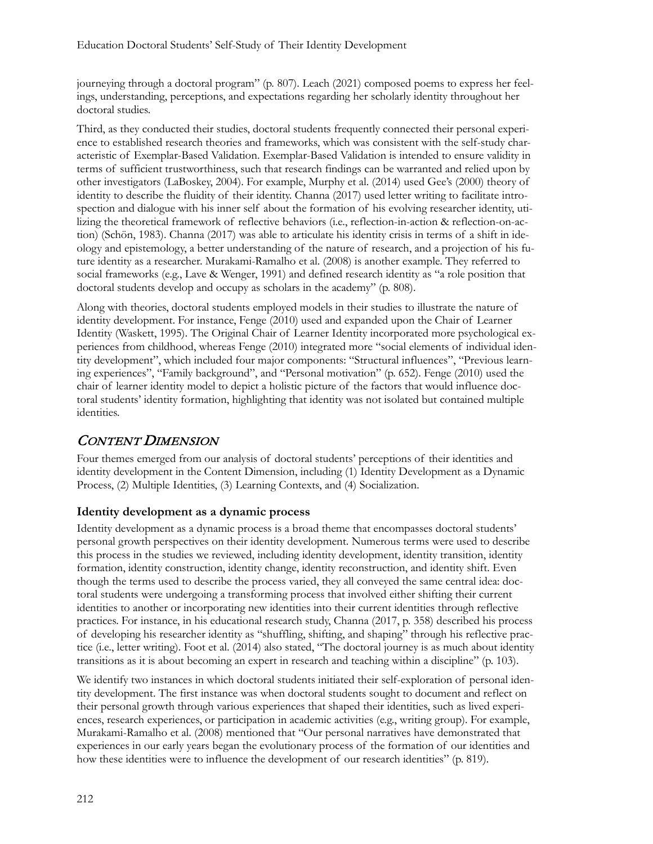journeying through a doctoral program" (p. 807). Leach (2021) composed poems to express her feelings, understanding, perceptions, and expectations regarding her scholarly identity throughout her doctoral studies.

Third, as they conducted their studies, doctoral students frequently connected their personal experience to established research theories and frameworks, which was consistent with the self-study characteristic of Exemplar-Based Validation. Exemplar-Based Validation is intended to ensure validity in terms of sufficient trustworthiness, such that research findings can be warranted and relied upon by other investigators (LaBoskey, 2004). For example, Murphy et al. (2014) used Gee's (2000) theory of identity to describe the fluidity of their identity. Channa (2017) used letter writing to facilitate introspection and dialogue with his inner self about the formation of his evolving researcher identity, utilizing the theoretical framework of reflective behaviors (i.e., reflection-in-action & reflection-on-action) (Schön, 1983). Channa (2017) was able to articulate his identity crisis in terms of a shift in ideology and epistemology, a better understanding of the nature of research, and a projection of his future identity as a researcher. Murakami-Ramalho et al. (2008) is another example. They referred to social frameworks (e.g., Lave & Wenger, 1991) and defined research identity as "a role position that doctoral students develop and occupy as scholars in the academy" (p. 808).

Along with theories, doctoral students employed models in their studies to illustrate the nature of identity development. For instance, Fenge (2010) used and expanded upon the Chair of Learner Identity (Waskett, 1995). The Original Chair of Learner Identity incorporated more psychological experiences from childhood, whereas Fenge (2010) integrated more "social elements of individual identity development", which included four major components: "Structural influences", "Previous learning experiences", "Family background", and "Personal motivation" (p. 652). Fenge (2010) used the chair of learner identity model to depict a holistic picture of the factors that would influence doctoral students' identity formation, highlighting that identity was not isolated but contained multiple identities.

### CONTENT DIMENSION

Four themes emerged from our analysis of doctoral students' perceptions of their identities and identity development in the Content Dimension, including (1) Identity Development as a Dynamic Process, (2) Multiple Identities, (3) Learning Contexts, and (4) Socialization.

#### **Identity development as a dynamic process**

Identity development as a dynamic process is a broad theme that encompasses doctoral students' personal growth perspectives on their identity development. Numerous terms were used to describe this process in the studies we reviewed, including identity development, identity transition, identity formation, identity construction, identity change, identity reconstruction, and identity shift. Even though the terms used to describe the process varied, they all conveyed the same central idea: doctoral students were undergoing a transforming process that involved either shifting their current identities to another or incorporating new identities into their current identities through reflective practices. For instance, in his educational research study, Channa (2017, p. 358) described his process of developing his researcher identity as "shuffling, shifting, and shaping" through his reflective practice (i.e., letter writing). Foot et al. (2014) also stated, "The doctoral journey is as much about identity transitions as it is about becoming an expert in research and teaching within a discipline" (p. 103).

We identify two instances in which doctoral students initiated their self-exploration of personal identity development. The first instance was when doctoral students sought to document and reflect on their personal growth through various experiences that shaped their identities, such as lived experiences, research experiences, or participation in academic activities (e.g., writing group). For example, Murakami-Ramalho et al. (2008) mentioned that "Our personal narratives have demonstrated that experiences in our early years began the evolutionary process of the formation of our identities and how these identities were to influence the development of our research identities" (p. 819).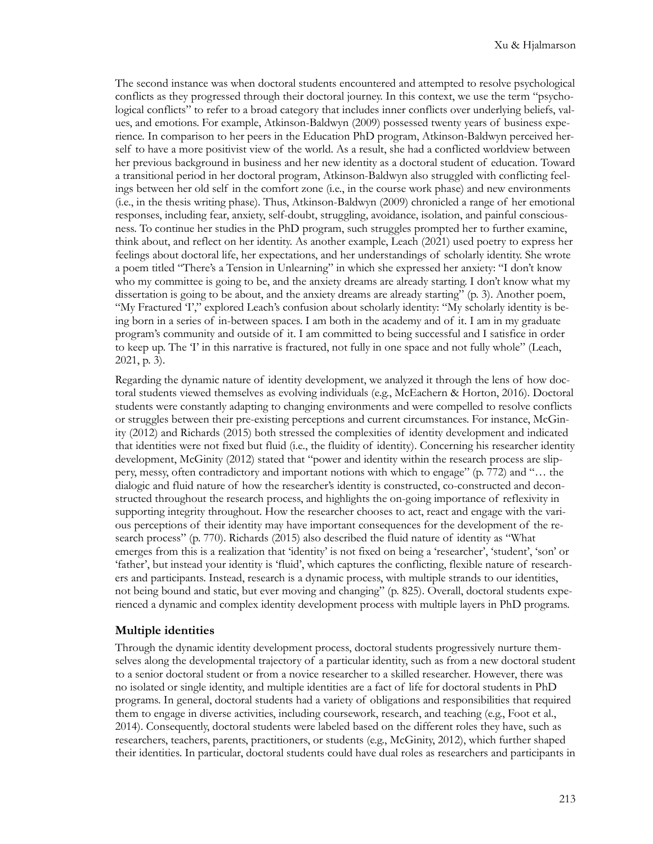The second instance was when doctoral students encountered and attempted to resolve psychological conflicts as they progressed through their doctoral journey. In this context, we use the term "psychological conflicts" to refer to a broad category that includes inner conflicts over underlying beliefs, values, and emotions. For example, Atkinson-Baldwyn (2009) possessed twenty years of business experience. In comparison to her peers in the Education PhD program, Atkinson-Baldwyn perceived herself to have a more positivist view of the world. As a result, she had a conflicted worldview between her previous background in business and her new identity as a doctoral student of education. Toward a transitional period in her doctoral program, Atkinson-Baldwyn also struggled with conflicting feelings between her old self in the comfort zone (i.e., in the course work phase) and new environments (i.e., in the thesis writing phase). Thus, Atkinson-Baldwyn (2009) chronicled a range of her emotional responses, including fear, anxiety, self-doubt, struggling, avoidance, isolation, and painful consciousness. To continue her studies in the PhD program, such struggles prompted her to further examine, think about, and reflect on her identity. As another example, Leach (2021) used poetry to express her feelings about doctoral life, her expectations, and her understandings of scholarly identity. She wrote a poem titled "There's a Tension in Unlearning" in which she expressed her anxiety: "I don't know who my committee is going to be, and the anxiety dreams are already starting. I don't know what my dissertation is going to be about, and the anxiety dreams are already starting" (p. 3). Another poem, "My Fractured 'I'," explored Leach's confusion about scholarly identity: "My scholarly identity is being born in a series of in-between spaces. I am both in the academy and of it. I am in my graduate program's community and outside of it. I am committed to being successful and I satisfice in order to keep up. The 'I' in this narrative is fractured, not fully in one space and not fully whole" (Leach, 2021, p. 3).

Regarding the dynamic nature of identity development, we analyzed it through the lens of how doctoral students viewed themselves as evolving individuals (e.g., McEachern & Horton, 2016). Doctoral students were constantly adapting to changing environments and were compelled to resolve conflicts or struggles between their pre-existing perceptions and current circumstances. For instance, McGinity (2012) and Richards (2015) both stressed the complexities of identity development and indicated that identities were not fixed but fluid (i.e., the fluidity of identity). Concerning his researcher identity development, McGinity (2012) stated that "power and identity within the research process are slippery, messy, often contradictory and important notions with which to engage" (p. 772) and "… the dialogic and fluid nature of how the researcher's identity is constructed, co-constructed and deconstructed throughout the research process, and highlights the on-going importance of reflexivity in supporting integrity throughout. How the researcher chooses to act, react and engage with the various perceptions of their identity may have important consequences for the development of the research process" (p. 770). Richards (2015) also described the fluid nature of identity as "What emerges from this is a realization that 'identity' is not fixed on being a 'researcher', 'student', 'son' or 'father', but instead your identity is 'fluid', which captures the conflicting, flexible nature of researchers and participants. Instead, research is a dynamic process, with multiple strands to our identities, not being bound and static, but ever moving and changing" (p. 825). Overall, doctoral students experienced a dynamic and complex identity development process with multiple layers in PhD programs.

#### **Multiple identities**

Through the dynamic identity development process, doctoral students progressively nurture themselves along the developmental trajectory of a particular identity, such as from a new doctoral student to a senior doctoral student or from a novice researcher to a skilled researcher. However, there was no isolated or single identity, and multiple identities are a fact of life for doctoral students in PhD programs. In general, doctoral students had a variety of obligations and responsibilities that required them to engage in diverse activities, including coursework, research, and teaching (e.g., Foot et al., 2014). Consequently, doctoral students were labeled based on the different roles they have, such as researchers, teachers, parents, practitioners, or students (e.g., McGinity, 2012), which further shaped their identities. In particular, doctoral students could have dual roles as researchers and participants in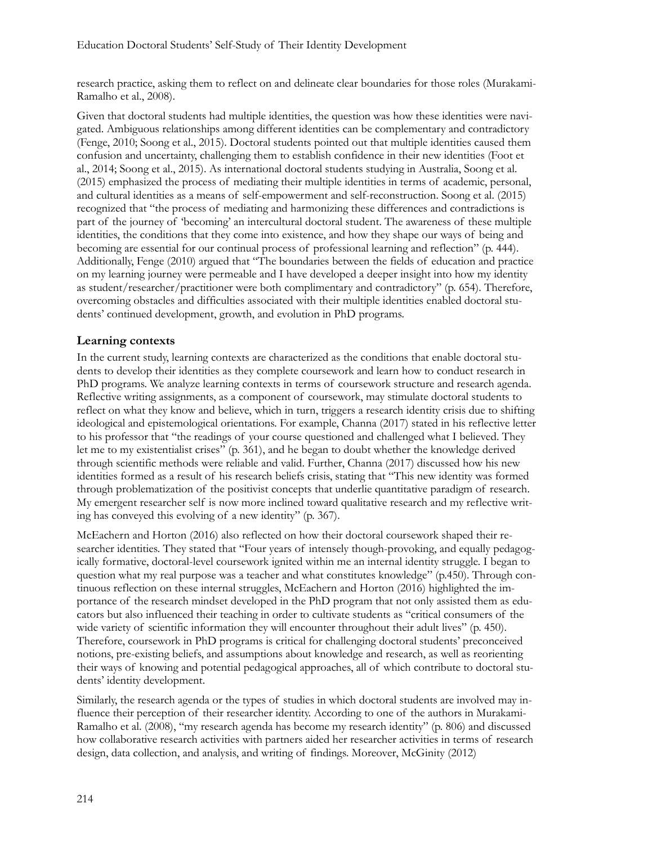research practice, asking them to reflect on and delineate clear boundaries for those roles (Murakami-Ramalho et al., 2008).

Given that doctoral students had multiple identities, the question was how these identities were navigated. Ambiguous relationships among different identities can be complementary and contradictory (Fenge, 2010; Soong et al., 2015). Doctoral students pointed out that multiple identities caused them confusion and uncertainty, challenging them to establish confidence in their new identities (Foot et al., 2014; Soong et al., 2015). As international doctoral students studying in Australia, Soong et al. (2015) emphasized the process of mediating their multiple identities in terms of academic, personal, and cultural identities as a means of self-empowerment and self-reconstruction. Soong et al. (2015) recognized that "the process of mediating and harmonizing these differences and contradictions is part of the journey of 'becoming' an intercultural doctoral student. The awareness of these multiple identities, the conditions that they come into existence, and how they shape our ways of being and becoming are essential for our continual process of professional learning and reflection" (p. 444). Additionally, Fenge (2010) argued that "The boundaries between the fields of education and practice on my learning journey were permeable and I have developed a deeper insight into how my identity as student/researcher/practitioner were both complimentary and contradictory" (p. 654). Therefore, overcoming obstacles and difficulties associated with their multiple identities enabled doctoral students' continued development, growth, and evolution in PhD programs.

#### **Learning contexts**

In the current study, learning contexts are characterized as the conditions that enable doctoral students to develop their identities as they complete coursework and learn how to conduct research in PhD programs. We analyze learning contexts in terms of coursework structure and research agenda. Reflective writing assignments, as a component of coursework, may stimulate doctoral students to reflect on what they know and believe, which in turn, triggers a research identity crisis due to shifting ideological and epistemological orientations. For example, Channa (2017) stated in his reflective letter to his professor that "the readings of your course questioned and challenged what I believed. They let me to my existentialist crises" (p. 361), and he began to doubt whether the knowledge derived through scientific methods were reliable and valid. Further, Channa (2017) discussed how his new identities formed as a result of his research beliefs crisis, stating that "This new identity was formed through problematization of the positivist concepts that underlie quantitative paradigm of research. My emergent researcher self is now more inclined toward qualitative research and my reflective writing has conveyed this evolving of a new identity" (p. 367).

McEachern and Horton (2016) also reflected on how their doctoral coursework shaped their researcher identities. They stated that "Four years of intensely though-provoking, and equally pedagogically formative, doctoral-level coursework ignited within me an internal identity struggle. I began to question what my real purpose was a teacher and what constitutes knowledge" (p.450). Through continuous reflection on these internal struggles, McEachern and Horton (2016) highlighted the importance of the research mindset developed in the PhD program that not only assisted them as educators but also influenced their teaching in order to cultivate students as "critical consumers of the wide variety of scientific information they will encounter throughout their adult lives" (p. 450). Therefore, coursework in PhD programs is critical for challenging doctoral students' preconceived notions, pre-existing beliefs, and assumptions about knowledge and research, as well as reorienting their ways of knowing and potential pedagogical approaches, all of which contribute to doctoral students' identity development.

Similarly, the research agenda or the types of studies in which doctoral students are involved may influence their perception of their researcher identity. According to one of the authors in Murakami-Ramalho et al. (2008), "my research agenda has become my research identity" (p. 806) and discussed how collaborative research activities with partners aided her researcher activities in terms of research design, data collection, and analysis, and writing of findings. Moreover, McGinity (2012)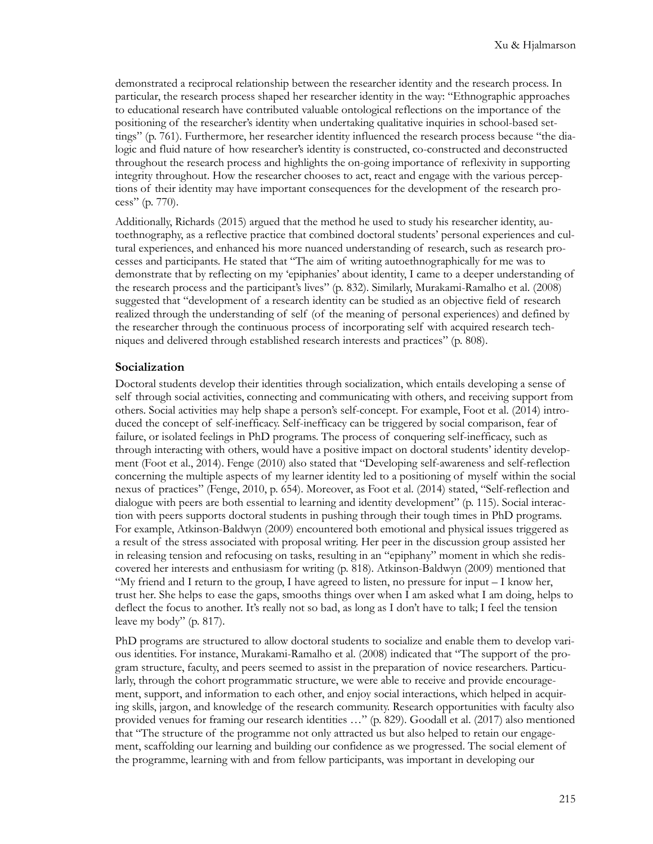demonstrated a reciprocal relationship between the researcher identity and the research process. In particular, the research process shaped her researcher identity in the way: "Ethnographic approaches to educational research have contributed valuable ontological reflections on the importance of the positioning of the researcher's identity when undertaking qualitative inquiries in school-based settings" (p. 761). Furthermore, her researcher identity influenced the research process because "the dialogic and fluid nature of how researcher's identity is constructed, co-constructed and deconstructed throughout the research process and highlights the on-going importance of reflexivity in supporting integrity throughout. How the researcher chooses to act, react and engage with the various perceptions of their identity may have important consequences for the development of the research process" (p. 770).

Additionally, Richards (2015) argued that the method he used to study his researcher identity, autoethnography, as a reflective practice that combined doctoral students' personal experiences and cultural experiences, and enhanced his more nuanced understanding of research, such as research processes and participants. He stated that "The aim of writing autoethnographically for me was to demonstrate that by reflecting on my 'epiphanies' about identity, I came to a deeper understanding of the research process and the participant's lives" (p. 832). Similarly, Murakami-Ramalho et al. (2008) suggested that "development of a research identity can be studied as an objective field of research realized through the understanding of self (of the meaning of personal experiences) and defined by the researcher through the continuous process of incorporating self with acquired research techniques and delivered through established research interests and practices" (p. 808).

#### **Socialization**

Doctoral students develop their identities through socialization, which entails developing a sense of self through social activities, connecting and communicating with others, and receiving support from others. Social activities may help shape a person's self-concept. For example, Foot et al. (2014) introduced the concept of self-inefficacy. Self-inefficacy can be triggered by social comparison, fear of failure, or isolated feelings in PhD programs. The process of conquering self-inefficacy, such as through interacting with others, would have a positive impact on doctoral students' identity development (Foot et al., 2014). Fenge (2010) also stated that "Developing self-awareness and self-reflection concerning the multiple aspects of my learner identity led to a positioning of myself within the social nexus of practices" (Fenge, 2010, p. 654). Moreover, as Foot et al. (2014) stated, "Self-reflection and dialogue with peers are both essential to learning and identity development" (p. 115). Social interaction with peers supports doctoral students in pushing through their tough times in PhD programs. For example, Atkinson-Baldwyn (2009) encountered both emotional and physical issues triggered as a result of the stress associated with proposal writing. Her peer in the discussion group assisted her in releasing tension and refocusing on tasks, resulting in an "epiphany" moment in which she rediscovered her interests and enthusiasm for writing (p. 818). Atkinson-Baldwyn (2009) mentioned that "My friend and I return to the group, I have agreed to listen, no pressure for input – I know her, trust her. She helps to ease the gaps, smooths things over when I am asked what I am doing, helps to deflect the focus to another. It's really not so bad, as long as I don't have to talk; I feel the tension leave my body" (p. 817).

PhD programs are structured to allow doctoral students to socialize and enable them to develop various identities. For instance, Murakami-Ramalho et al. (2008) indicated that "The support of the program structure, faculty, and peers seemed to assist in the preparation of novice researchers. Particularly, through the cohort programmatic structure, we were able to receive and provide encouragement, support, and information to each other, and enjoy social interactions, which helped in acquiring skills, jargon, and knowledge of the research community. Research opportunities with faculty also provided venues for framing our research identities …" (p. 829). Goodall et al. (2017) also mentioned that "The structure of the programme not only attracted us but also helped to retain our engagement, scaffolding our learning and building our confidence as we progressed. The social element of the programme, learning with and from fellow participants, was important in developing our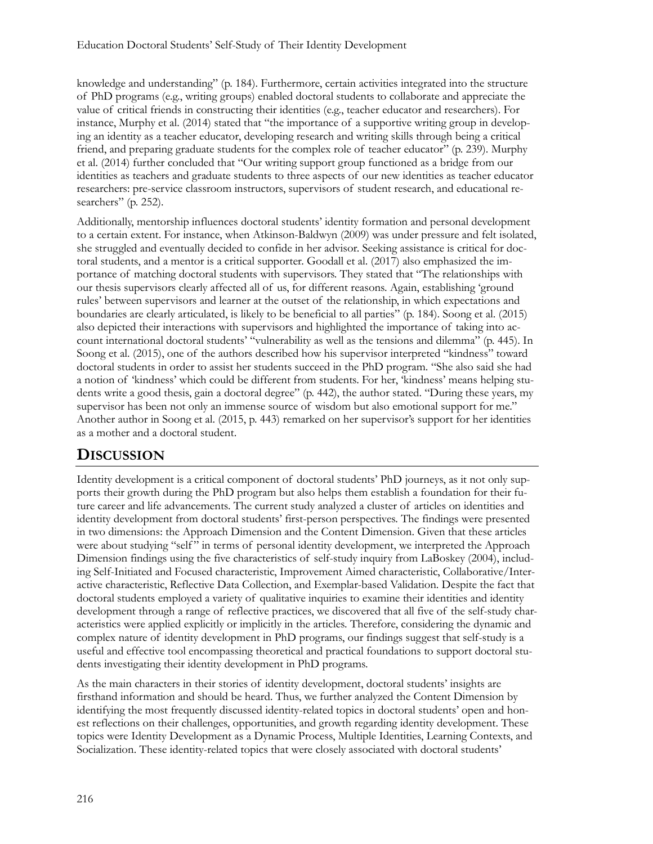knowledge and understanding" (p. 184). Furthermore, certain activities integrated into the structure of PhD programs (e.g., writing groups) enabled doctoral students to collaborate and appreciate the value of critical friends in constructing their identities (e.g., teacher educator and researchers). For instance, Murphy et al. (2014) stated that "the importance of a supportive writing group in developing an identity as a teacher educator, developing research and writing skills through being a critical friend, and preparing graduate students for the complex role of teacher educator" (p. 239). Murphy et al. (2014) further concluded that "Our writing support group functioned as a bridge from our identities as teachers and graduate students to three aspects of our new identities as teacher educator researchers: pre-service classroom instructors, supervisors of student research, and educational researchers" (p. 252).

Additionally, mentorship influences doctoral students' identity formation and personal development to a certain extent. For instance, when Atkinson-Baldwyn (2009) was under pressure and felt isolated, she struggled and eventually decided to confide in her advisor. Seeking assistance is critical for doctoral students, and a mentor is a critical supporter. Goodall et al. (2017) also emphasized the importance of matching doctoral students with supervisors. They stated that "The relationships with our thesis supervisors clearly affected all of us, for different reasons. Again, establishing 'ground rules' between supervisors and learner at the outset of the relationship, in which expectations and boundaries are clearly articulated, is likely to be beneficial to all parties" (p. 184). Soong et al. (2015) also depicted their interactions with supervisors and highlighted the importance of taking into account international doctoral students' "vulnerability as well as the tensions and dilemma" (p. 445). In Soong et al. (2015), one of the authors described how his supervisor interpreted "kindness" toward doctoral students in order to assist her students succeed in the PhD program. "She also said she had a notion of 'kindness' which could be different from students. For her, 'kindness' means helping students write a good thesis, gain a doctoral degree" (p. 442), the author stated. "During these years, my supervisor has been not only an immense source of wisdom but also emotional support for me." Another author in Soong et al. (2015, p. 443) remarked on her supervisor's support for her identities as a mother and a doctoral student.

# **DISCUSSION**

Identity development is a critical component of doctoral students' PhD journeys, as it not only supports their growth during the PhD program but also helps them establish a foundation for their future career and life advancements. The current study analyzed a cluster of articles on identities and identity development from doctoral students' first-person perspectives. The findings were presented in two dimensions: the Approach Dimension and the Content Dimension. Given that these articles were about studying "self" in terms of personal identity development, we interpreted the Approach Dimension findings using the five characteristics of self-study inquiry from LaBoskey (2004), including Self-Initiated and Focused characteristic, Improvement Aimed characteristic, Collaborative/Interactive characteristic, Reflective Data Collection, and Exemplar-based Validation. Despite the fact that doctoral students employed a variety of qualitative inquiries to examine their identities and identity development through a range of reflective practices, we discovered that all five of the self-study characteristics were applied explicitly or implicitly in the articles. Therefore, considering the dynamic and complex nature of identity development in PhD programs, our findings suggest that self-study is a useful and effective tool encompassing theoretical and practical foundations to support doctoral students investigating their identity development in PhD programs.

As the main characters in their stories of identity development, doctoral students' insights are firsthand information and should be heard. Thus, we further analyzed the Content Dimension by identifying the most frequently discussed identity-related topics in doctoral students' open and honest reflections on their challenges, opportunities, and growth regarding identity development. These topics were Identity Development as a Dynamic Process, Multiple Identities, Learning Contexts, and Socialization. These identity-related topics that were closely associated with doctoral students'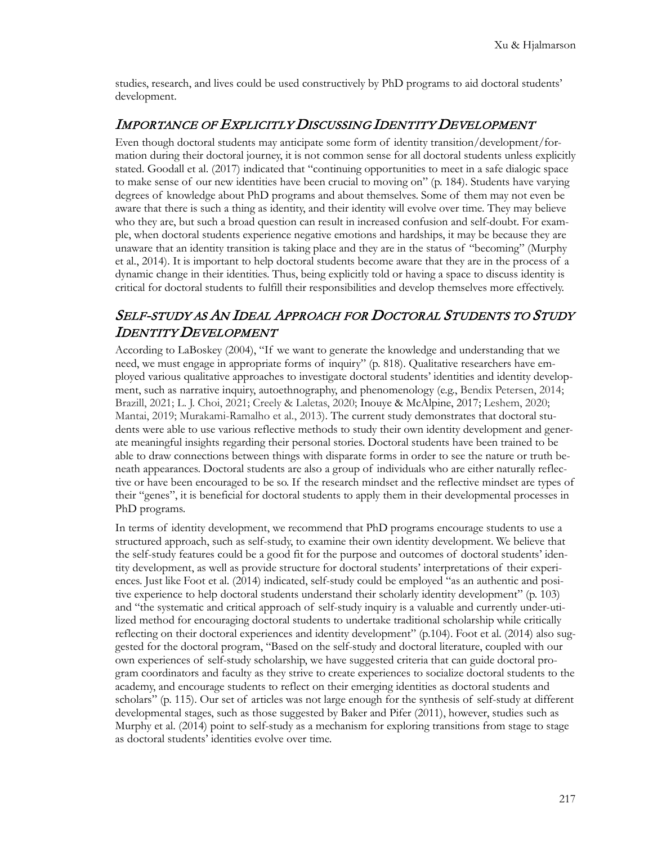studies, research, and lives could be used constructively by PhD programs to aid doctoral students' development.

#### IMPORTANCE OF EXPLICITLY DISCUSSING IDENTITY DEVELOPMENT

Even though doctoral students may anticipate some form of identity transition/development/formation during their doctoral journey, it is not common sense for all doctoral students unless explicitly stated. Goodall et al. (2017) indicated that "continuing opportunities to meet in a safe dialogic space to make sense of our new identities have been crucial to moving on" (p. 184). Students have varying degrees of knowledge about PhD programs and about themselves. Some of them may not even be aware that there is such a thing as identity, and their identity will evolve over time. They may believe who they are, but such a broad question can result in increased confusion and self-doubt. For example, when doctoral students experience negative emotions and hardships, it may be because they are unaware that an identity transition is taking place and they are in the status of "becoming" (Murphy et al., 2014). It is important to help doctoral students become aware that they are in the process of a dynamic change in their identities. Thus, being explicitly told or having a space to discuss identity is critical for doctoral students to fulfill their responsibilities and develop themselves more effectively.

# SELF-STUDY AS AN IDEAL APPROACH FOR DOCTORAL STUDENTS TO STUDY IDENTITY DEVELOPMENT

According to LaBoskey (2004), "If we want to generate the knowledge and understanding that we need, we must engage in appropriate forms of inquiry" (p. 818). Qualitative researchers have employed various qualitative approaches to investigate doctoral students' identities and identity development, such as narrative inquiry, autoethnography, and phenomenology (e.g., Bendix Petersen, 2014; Brazill, 2021; L. J. Choi, 2021; Creely & Laletas, 2020; Inouye & McAlpine, 2017; Leshem, 2020; Mantai, 2019; Murakami-Ramalho et al., 2013). The current study demonstrates that doctoral students were able to use various reflective methods to study their own identity development and generate meaningful insights regarding their personal stories. Doctoral students have been trained to be able to draw connections between things with disparate forms in order to see the nature or truth beneath appearances. Doctoral students are also a group of individuals who are either naturally reflective or have been encouraged to be so. If the research mindset and the reflective mindset are types of their "genes", it is beneficial for doctoral students to apply them in their developmental processes in PhD programs.

In terms of identity development, we recommend that PhD programs encourage students to use a structured approach, such as self-study, to examine their own identity development. We believe that the self-study features could be a good fit for the purpose and outcomes of doctoral students' identity development, as well as provide structure for doctoral students' interpretations of their experiences. Just like Foot et al. (2014) indicated, self-study could be employed "as an authentic and positive experience to help doctoral students understand their scholarly identity development" (p. 103) and "the systematic and critical approach of self-study inquiry is a valuable and currently under-utilized method for encouraging doctoral students to undertake traditional scholarship while critically reflecting on their doctoral experiences and identity development" (p.104). Foot et al. (2014) also suggested for the doctoral program, "Based on the self-study and doctoral literature, coupled with our own experiences of self-study scholarship, we have suggested criteria that can guide doctoral program coordinators and faculty as they strive to create experiences to socialize doctoral students to the academy, and encourage students to reflect on their emerging identities as doctoral students and scholars" (p. 115). Our set of articles was not large enough for the synthesis of self-study at different developmental stages, such as those suggested by Baker and Pifer (2011), however, studies such as Murphy et al. (2014) point to self-study as a mechanism for exploring transitions from stage to stage as doctoral students' identities evolve over time.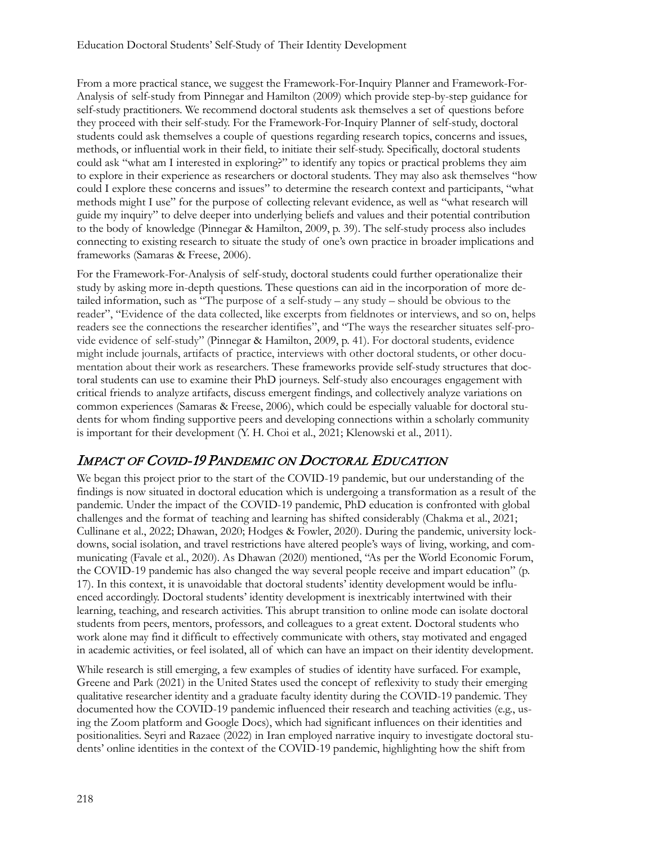From a more practical stance, we suggest the Framework-For-Inquiry Planner and Framework-For-Analysis of self-study from Pinnegar and Hamilton (2009) which provide step-by-step guidance for self-study practitioners. We recommend doctoral students ask themselves a set of questions before they proceed with their self-study. For the Framework-For-Inquiry Planner of self-study, doctoral students could ask themselves a couple of questions regarding research topics, concerns and issues, methods, or influential work in their field, to initiate their self-study. Specifically, doctoral students could ask "what am I interested in exploring?" to identify any topics or practical problems they aim to explore in their experience as researchers or doctoral students. They may also ask themselves "how could I explore these concerns and issues" to determine the research context and participants, "what methods might I use" for the purpose of collecting relevant evidence, as well as "what research will guide my inquiry" to delve deeper into underlying beliefs and values and their potential contribution to the body of knowledge (Pinnegar & Hamilton, 2009, p. 39). The self-study process also includes connecting to existing research to situate the study of one's own practice in broader implications and frameworks (Samaras & Freese, 2006).

For the Framework-For-Analysis of self-study, doctoral students could further operationalize their study by asking more in-depth questions. These questions can aid in the incorporation of more detailed information, such as "The purpose of a self-study – any study – should be obvious to the reader", "Evidence of the data collected, like excerpts from fieldnotes or interviews, and so on, helps readers see the connections the researcher identifies", and "The ways the researcher situates self-provide evidence of self-study" (Pinnegar & Hamilton, 2009, p. 41). For doctoral students, evidence might include journals, artifacts of practice, interviews with other doctoral students, or other documentation about their work as researchers. These frameworks provide self-study structures that doctoral students can use to examine their PhD journeys. Self-study also encourages engagement with critical friends to analyze artifacts, discuss emergent findings, and collectively analyze variations on common experiences (Samaras & Freese, 2006), which could be especially valuable for doctoral students for whom finding supportive peers and developing connections within a scholarly community is important for their development (Y. H. Choi et al., 2021; Klenowski et al., 2011).

# IMPACT OF COVID-19 PANDEMIC ON DOCTORAL EDUCATION

We began this project prior to the start of the COVID-19 pandemic, but our understanding of the findings is now situated in doctoral education which is undergoing a transformation as a result of the pandemic. Under the impact of the COVID-19 pandemic, PhD education is confronted with global challenges and the format of teaching and learning has shifted considerably (Chakma et al., 2021; Cullinane et al., 2022; Dhawan, 2020; Hodges & Fowler, 2020). During the pandemic, university lockdowns, social isolation, and travel restrictions have altered people's ways of living, working, and communicating (Favale et al., 2020). As Dhawan (2020) mentioned, "As per the World Economic Forum, the COVID-19 pandemic has also changed the way several people receive and impart education" (p. 17). In this context, it is unavoidable that doctoral students' identity development would be influenced accordingly. Doctoral students' identity development is inextricably intertwined with their learning, teaching, and research activities. This abrupt transition to online mode can isolate doctoral students from peers, mentors, professors, and colleagues to a great extent. Doctoral students who work alone may find it difficult to effectively communicate with others, stay motivated and engaged in academic activities, or feel isolated, all of which can have an impact on their identity development.

While research is still emerging, a few examples of studies of identity have surfaced. For example, Greene and Park (2021) in the United States used the concept of reflexivity to study their emerging qualitative researcher identity and a graduate faculty identity during the COVID-19 pandemic. They documented how the COVID-19 pandemic influenced their research and teaching activities (e.g., using the Zoom platform and Google Docs), which had significant influences on their identities and positionalities. Seyri and Razaee (2022) in Iran employed narrative inquiry to investigate doctoral students' online identities in the context of the COVID-19 pandemic, highlighting how the shift from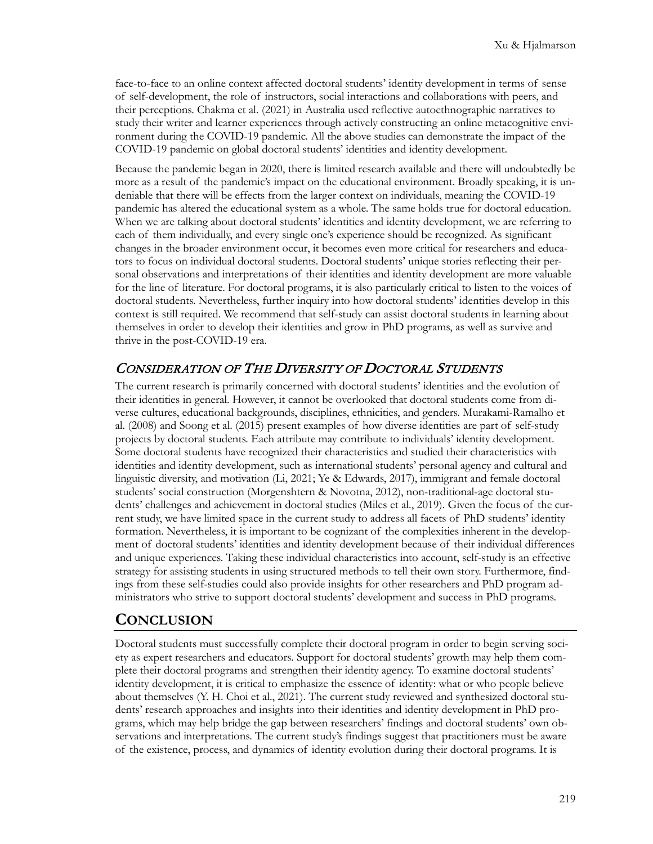face-to-face to an online context affected doctoral students' identity development in terms of sense of self-development, the role of instructors, social interactions and collaborations with peers, and their perceptions. Chakma et al. (2021) in Australia used reflective autoethnographic narratives to study their writer and learner experiences through actively constructing an online metacognitive environment during the COVID-19 pandemic. All the above studies can demonstrate the impact of the COVID-19 pandemic on global doctoral students' identities and identity development.

Because the pandemic began in 2020, there is limited research available and there will undoubtedly be more as a result of the pandemic's impact on the educational environment. Broadly speaking, it is undeniable that there will be effects from the larger context on individuals, meaning the COVID-19 pandemic has altered the educational system as a whole. The same holds true for doctoral education. When we are talking about doctoral students' identities and identity development, we are referring to each of them individually, and every single one's experience should be recognized. As significant changes in the broader environment occur, it becomes even more critical for researchers and educators to focus on individual doctoral students. Doctoral students' unique stories reflecting their personal observations and interpretations of their identities and identity development are more valuable for the line of literature. For doctoral programs, it is also particularly critical to listen to the voices of doctoral students. Nevertheless, further inquiry into how doctoral students' identities develop in this context is still required. We recommend that self-study can assist doctoral students in learning about themselves in order to develop their identities and grow in PhD programs, as well as survive and thrive in the post-COVID-19 era.

## CONSIDERATION OF THE DIVERSITY OF DOCTORAL STUDENTS

The current research is primarily concerned with doctoral students' identities and the evolution of their identities in general. However, it cannot be overlooked that doctoral students come from diverse cultures, educational backgrounds, disciplines, ethnicities, and genders. Murakami-Ramalho et al. (2008) and Soong et al. (2015) present examples of how diverse identities are part of self-study projects by doctoral students. Each attribute may contribute to individuals' identity development. Some doctoral students have recognized their characteristics and studied their characteristics with identities and identity development, such as international students' personal agency and cultural and linguistic diversity, and motivation (Li, 2021; Ye & Edwards, 2017), immigrant and female doctoral students' social construction (Morgenshtern & Novotna, 2012), non-traditional-age doctoral students' challenges and achievement in doctoral studies (Miles et al., 2019). Given the focus of the current study, we have limited space in the current study to address all facets of PhD students' identity formation. Nevertheless, it is important to be cognizant of the complexities inherent in the development of doctoral students' identities and identity development because of their individual differences and unique experiences. Taking these individual characteristics into account, self-study is an effective strategy for assisting students in using structured methods to tell their own story. Furthermore, findings from these self-studies could also provide insights for other researchers and PhD program administrators who strive to support doctoral students' development and success in PhD programs.

# **CONCLUSION**

Doctoral students must successfully complete their doctoral program in order to begin serving society as expert researchers and educators. Support for doctoral students' growth may help them complete their doctoral programs and strengthen their identity agency. To examine doctoral students' identity development, it is critical to emphasize the essence of identity: what or who people believe about themselves (Y. H. Choi et al., 2021). The current study reviewed and synthesized doctoral students' research approaches and insights into their identities and identity development in PhD programs, which may help bridge the gap between researchers' findings and doctoral students' own observations and interpretations. The current study's findings suggest that practitioners must be aware of the existence, process, and dynamics of identity evolution during their doctoral programs. It is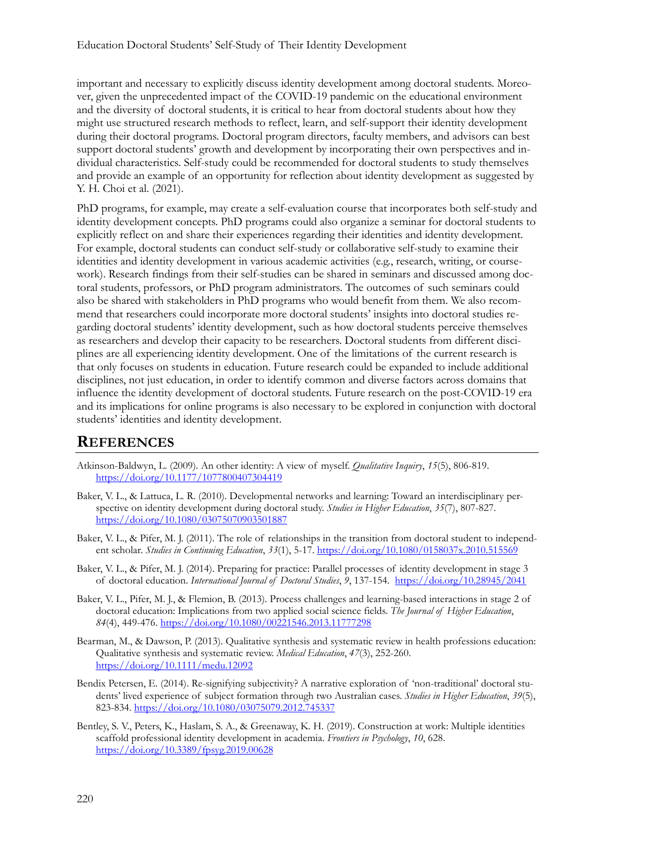important and necessary to explicitly discuss identity development among doctoral students. Moreover, given the unprecedented impact of the COVID-19 pandemic on the educational environment and the diversity of doctoral students, it is critical to hear from doctoral students about how they might use structured research methods to reflect, learn, and self-support their identity development during their doctoral programs. Doctoral program directors, faculty members, and advisors can best support doctoral students' growth and development by incorporating their own perspectives and individual characteristics. Self-study could be recommended for doctoral students to study themselves and provide an example of an opportunity for reflection about identity development as suggested by Y. H. Choi et al. (2021).

PhD programs, for example, may create a self-evaluation course that incorporates both self-study and identity development concepts. PhD programs could also organize a seminar for doctoral students to explicitly reflect on and share their experiences regarding their identities and identity development. For example, doctoral students can conduct self-study or collaborative self-study to examine their identities and identity development in various academic activities (e.g., research, writing, or coursework). Research findings from their self-studies can be shared in seminars and discussed among doctoral students, professors, or PhD program administrators. The outcomes of such seminars could also be shared with stakeholders in PhD programs who would benefit from them. We also recommend that researchers could incorporate more doctoral students' insights into doctoral studies regarding doctoral students' identity development, such as how doctoral students perceive themselves as researchers and develop their capacity to be researchers. Doctoral students from different disciplines are all experiencing identity development. One of the limitations of the current research is that only focuses on students in education. Future research could be expanded to include additional disciplines, not just education, in order to identify common and diverse factors across domains that influence the identity development of doctoral students. Future research on the post-COVID-19 era and its implications for online programs is also necessary to be explored in conjunction with doctoral students' identities and identity development.

### **REFERENCES**

- Atkinson-Baldwyn, L. (2009). An other identity: A view of myself. *Qualitative Inquiry*, *15*(5), 806-819. <https://doi.org/10.1177/1077800407304419>
- Baker, V. L., & Lattuca, L. R. (2010). Developmental networks and learning: Toward an interdisciplinary perspective on identity development during doctoral study. *Studies in Higher Education*, *35*(7), 807-827. <https://doi.org/10.1080/03075070903501887>
- Baker, V. L., & Pifer, M. J. (2011). The role of relationships in the transition from doctoral student to independent scholar. *Studies in Continuing Education*, *33*(1), 5-17. <https://doi.org/10.1080/0158037x.2010.515569>
- Baker, V. L., & Pifer, M. J. (2014). Preparing for practice: Parallel processes of identity development in stage 3 of doctoral education. *International Journal of Doctoral Studies*, *9*, 137-154. <https://doi.org/10.28945/2041>
- Baker, V. L., Pifer, M. J., & Flemion, B. (2013). Process challenges and learning-based interactions in stage 2 of doctoral education: Implications from two applied social science fields. *The Journal of Higher Education*, *84*(4), 449-476. <https://doi.org/10.1080/00221546.2013.11777298>
- Bearman, M., & Dawson, P. (2013). Qualitative synthesis and systematic review in health professions education: Qualitative synthesis and systematic review. *Medical Education*, *47*(3), 252-260. <https://doi.org/10.1111/medu.12092>
- Bendix Petersen, E. (2014). Re-signifying subjectivity? A narrative exploration of 'non-traditional' doctoral students' lived experience of subject formation through two Australian cases. *Studies in Higher Education*, *39*(5), 823-834. <https://doi.org/10.1080/03075079.2012.745337>
- Bentley, S. V., Peters, K., Haslam, S. A., & Greenaway, K. H. (2019). Construction at work: Multiple identities scaffold professional identity development in academia. *Frontiers in Psychology*, *10*, 628. <https://doi.org/10.3389/fpsyg.2019.00628>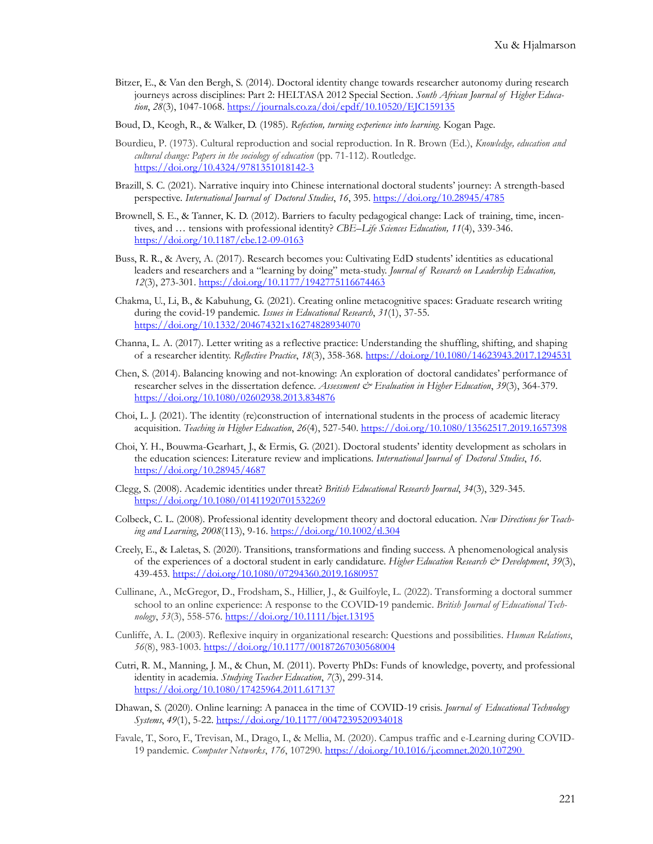- Bitzer, E., & Van den Bergh, S. (2014). Doctoral identity change towards researcher autonomy during research journeys across disciplines: Part 2: HELTASA 2012 Special Section. *South African Journal of Higher Education*, *28*(3), 1047-1068. <https://journals.co.za/doi/epdf/10.10520/EJC159135>
- Boud, D., Keogh, R., & Walker, D. (1985). *Refection, turning experience into learning*. Kogan Page.
- Bourdieu, P. (1973). Cultural reproduction and social reproduction. In R. Brown (Ed.), *Knowledge, education and cultural change: Papers in the sociology of education* (pp. 71-112). Routledge. [https://doi.org/10.4324/9781351018142](https://doi.org/10.4324/9781351018142-3)-3
- Brazill, S. C. (2021). Narrative inquiry into Chinese international doctoral students' journey: A strength-based perspective. *International Journal of Doctoral Studies*, *16*, 395. <https://doi.org/10.28945/4785>
- Brownell, S. E., & Tanner, K. D. (2012). Barriers to faculty pedagogical change: Lack of training, time, incentives, and … tensions with professional identity? *CBE–Life Sciences Education, 11*(4), 339-346. [https://doi.org/10.1187/cbe.12](https://doi.org/10.1187/cbe.12-09-0163)-09-0163
- Buss, R. R., & Avery, A. (2017). Research becomes you: Cultivating EdD students' identities as educational leaders and researchers and a "learning by doing" meta-study. *Journal of Research on Leadership Education, 12*(3), 273-301. <https://doi.org/10.1177/1942775116674463>
- Chakma, U., Li, B., & Kabuhung, G. (2021). Creating online metacognitive spaces: Graduate research writing during the covid-19 pandemic. *Issues in Educational Research*, *31*(1), 37-55. <https://doi.org/10.1332/204674321x16274828934070>
- Channa, L. A. (2017). Letter writing as a reflective practice: Understanding the shuffling, shifting, and shaping of a researcher identity. *Reflective Practice*, *18*(3), 358-368. <https://doi.org/10.1080/14623943.2017.1294531>
- Chen, S. (2014). Balancing knowing and not-knowing: An exploration of doctoral candidates' performance of researcher selves in the dissertation defence. *Assessment & Evaluation in Higher Education*, *39*(3), 364-379. <https://doi.org/10.1080/02602938.2013.834876>
- Choi, L. J. (2021). The identity (re)construction of international students in the process of academic literacy acquisition. *Teaching in Higher Education*, *26*(4), 527-540. <https://doi.org/10.1080/13562517.2019.1657398>
- Choi, Y. H., Bouwma-Gearhart, J., & Ermis, G. (2021). Doctoral students' identity development as scholars in the education sciences: Literature review and implications. *International Journal of Doctoral Studies*, *16*. <https://doi.org/10.28945/4687>
- Clegg, S. (2008). Academic identities under threat? *British Educational Research Journal*, *34*(3), 329-345. <https://doi.org/10.1080/01411920701532269>
- Colbeck, C. L. (2008). Professional identity development theory and doctoral education. *New Directions for Teaching and Learning*, *2008*(113), 9-16. <https://doi.org/10.1002/tl.304>
- Creely, E., & Laletas, S. (2020). Transitions, transformations and finding success. A phenomenological analysis of the experiences of a doctoral student in early candidature. *Higher Education Research & Development*, *39*(3), 439-453. <https://doi.org/10.1080/07294360.2019.1680957>
- Cullinane, A., McGregor, D., Frodsham, S., Hillier, J., & Guilfoyle, L. (2022). Transforming a doctoral summer school to an online experience: A response to the COVID-19 pandemic. *British Journal of Educational Technology*, *53*(3), 558-576. <https://doi.org/10.1111/bjet.13195>
- Cunliffe, A. L. (2003). Reflexive inquiry in organizational research: Questions and possibilities. *Human Relations*, *56*(8), 983-1003. <https://doi.org/10.1177/00187267030568004>
- Cutri, R. M., Manning, J. M., & Chun, M. (2011). Poverty PhDs: Funds of knowledge, poverty, and professional identity in academia. *Studying Teacher Education*, *7*(3), 299-314. <https://doi.org/10.1080/17425964.2011.617137>
- Dhawan, S. (2020). Online learning: A panacea in the time of COVID-19 crisis. *Journal of Educational Technology Systems*, *49*(1), 5-22. <https://doi.org/10.1177/0047239520934018>
- Favale, T., Soro, F., Trevisan, M., Drago, I., & Mellia, M. (2020). Campus traffic and e-Learning during COVID-19 pandemic. *Computer Networks*, *176*, 107290. [https://doi.org/10.1016/j.comnet.2020.107290](https://doi.org/10.1016/j.comnet.2020.107290%C2%A0)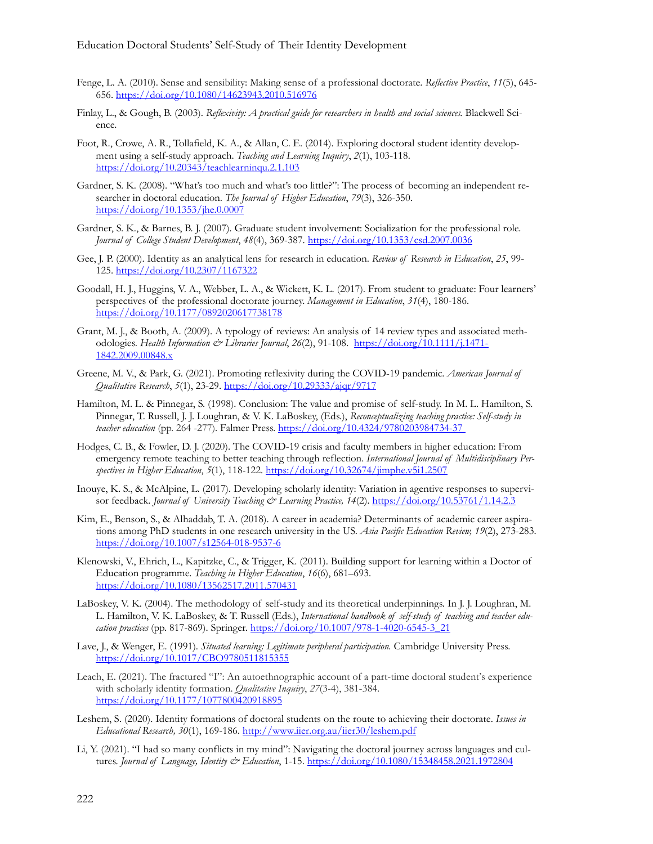- Fenge, L. A. (2010). Sense and sensibility: Making sense of a professional doctorate. *Reflective Practice*, *11*(5), 645- 656. <https://doi.org/10.1080/14623943.2010.516976>
- Finlay, L., & Gough, B. (2003). *Reflexivity: A practical guide for researchers in health and social sciences.* Blackwell Science.
- Foot, R., Crowe, A. R., Tollafield, K. A., & Allan, C. E. (2014). Exploring doctoral student identity development using a self-study approach. *Teaching and Learning Inquiry*, *2*(1), 103-118. <https://doi.org/10.20343/teachlearninqu.2.1.103>
- Gardner, S. K. (2008). "What's too much and what's too little?": The process of becoming an independent researcher in doctoral education. *The Journal of Higher Education*, *79*(3), 326-350. <https://doi.org/10.1353/jhe.0.0007>
- Gardner, S. K., & Barnes, B. J. (2007). Graduate student involvement: Socialization for the professional role. *Journal of College Student Development*, *48*(4), 369-387. <https://doi.org/10.1353/csd.2007.0036>
- Gee, J. P. (2000). Identity as an analytical lens for research in education. *Review of Research in Education*, *25*, 99- 125. <https://doi.org/10.2307/1167322>
- Goodall, H. J., Huggins, V. A., Webber, L. A., & Wickett, K. L. (2017). From student to graduate: Four learners' perspectives of the professional doctorate journey. *Management in Education*, *31*(4), 180-186. <https://doi.org/10.1177/0892020617738178>
- Grant, M. J., & Booth, A. (2009). A typology of reviews: An analysis of 14 review types and associated methodologies. *Health Information & Libraries Journal*, *26*(2), 91-108. [https://doi.org/10.1111/j.1471](https://doi.org/10.1111/j.1471-1842.2009.00848.x)- [1842.2009.00848.x](https://doi.org/10.1111/j.1471-1842.2009.00848.x)
- Greene, M. V., & Park, G. (2021). Promoting reflexivity during the COVID-19 pandemic. *American Journal of Qualitative Research*, *5*(1), 23-29. <https://doi.org/10.29333/ajqr/9717>
- Hamilton, M. L. & Pinnegar, S. (1998). Conclusion: The value and promise of self-study. In M. L. Hamilton, S. Pinnegar, T. Russell, J. J. Loughran, & V. K. LaBoskey, (Eds.), *Reconceptualizing teaching practice: Self-study in teacher education* (pp. 264 -277)*.* Falmer Press. [https://doi.org/10.4324/9780203984734](https://doi.org/10.4324/9780203984734-37%C2%A0)-37
- Hodges, C. B., & Fowler, D. J. (2020). The COVID-19 crisis and faculty members in higher education: From emergency remote teaching to better teaching through reflection. *International Journal of Multidisciplinary Perspectives in Higher Education*, *5*(1), 118-122. <https://doi.org/10.32674/jimphe.v5i1.2507>
- Inouye, K. S., & McAlpine, L. (2017). Developing scholarly identity: Variation in agentive responses to supervisor feedback. *Journal of University Teaching & Learning Practice, 14*(2). <https://doi.org/10.53761/1.14.2.3>
- Kim, E., Benson, S., & Alhaddab, T. A. (2018). A career in academia? Determinants of academic career aspirations among PhD students in one research university in the US. *Asia Pacific Education Review, 19*(2), 273-283. [https://doi.org/10.1007/s12564](https://doi.org/10.1007/s12564-018-9537-6)-018-9537-6
- Klenowski, V., Ehrich, L., Kapitzke, C., & Trigger, K. (2011). Building support for learning within a Doctor of Education programme. *Teaching in Higher Education*, *16*(6), 681–693. <https://doi.org/10.1080/13562517.2011.570431>
- LaBoskey, V. K. (2004). The methodology of self-study and its theoretical underpinnings. In J. J. Loughran, M. L. Hamilton, V. K. LaBoskey, & T. Russell (Eds.), *International handbook of self-study of teaching and teacher education practices* (pp. 817-869). Springer. [https://doi.org/10.1007/978](https://doi.org/10.1007/978-1-4020-6545-3_21)-1-4020-6545-3\_21
- Lave, J., & Wenger, E. (1991). *Situated learning: Legitimate peripheral participation.* Cambridge University Press. <https://doi.org/10.1017/CBO9780511815355>
- Leach, E. (2021). The fractured "I": An autoethnographic account of a part-time doctoral student's experience with scholarly identity formation. *Qualitative Inquiry*, *27*(3-4), 381-384. <https://doi.org/10.1177/1077800420918895>
- Leshem, S. (2020). Identity formations of doctoral students on the route to achieving their doctorate. *Issues in Educational Research, 30*(1), 169-186. <http://www.iier.org.au/iier30/leshem.pdf>
- Li, Y. (2021). "I had so many conflicts in my mind": Navigating the doctoral journey across languages and cultures. *Journal of Language, Identity & Education*, 1-15. <https://doi.org/10.1080/15348458.2021.1972804>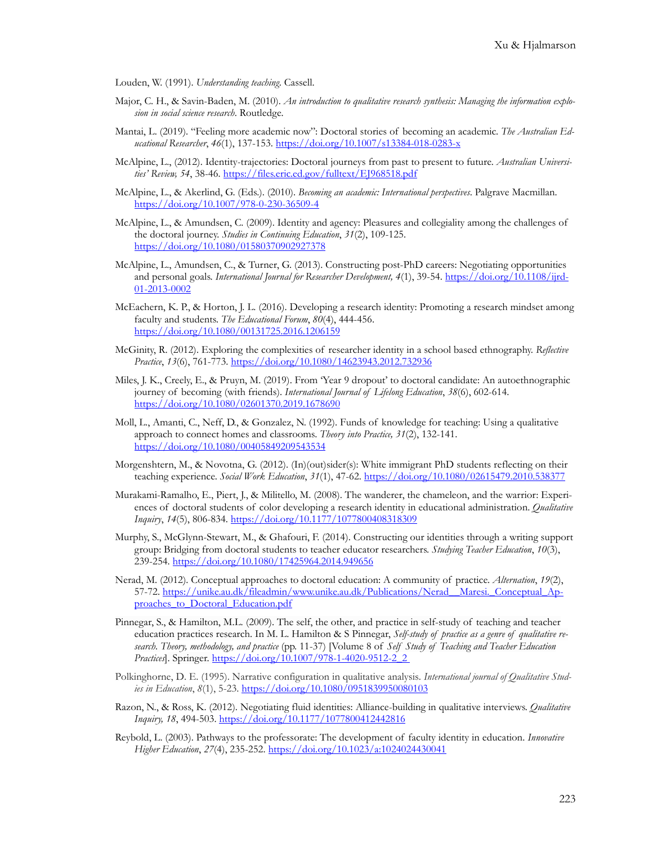Louden, W. (1991). *Understanding teaching*. Cassell.

- Major, C. H., & Savin-Baden, M. (2010). *An introduction to qualitative research synthesis: Managing the information explosion in social science research*. Routledge.
- Mantai, L. (2019). "Feeling more academic now": Doctoral stories of becoming an academic. *The Australian Educational Researcher*, *46*(1), 137-153. [https://doi.org/10.1007/s13384](https://doi.org/10.1007/s13384-018-0283-x)-018-0283-x
- McAlpine, L., (2012). Identity-trajectories: Doctoral journeys from past to present to future. *Australian Universities' Review, 54*, 38-46. <https://files.eric.ed.gov/fulltext/EJ968518.pdf>
- McAlpine, L., & Akerlind, G. (Eds.). (2010). *Becoming an academic: International perspectives*. Palgrave Macmillan. [https://doi.org/10.1007/978](https://doi.org/10.1007/978-0-230-36509-4)-0-230-36509-4
- McAlpine, L., & Amundsen, C. (2009). Identity and agency: Pleasures and collegiality among the challenges of the doctoral journey. *Studies in Continuing Education*, *31*(2), 109-125. <https://doi.org/10.1080/01580370902927378>
- McAlpine, L., Amundsen, C., & Turner, G. (2013). Constructing post-PhD careers: Negotiating opportunities and personal goals. *International Journal for Researcher Development, 4*(1), 39-54. [https://doi.org/10.1108/ijrd](https://doi.org/10.1108/ijrd-01-2013-0002)-01-[2013](https://doi.org/10.1108/ijrd-01-2013-0002)-0002
- McEachern, K. P., & Horton, J. L. (2016). Developing a research identity: Promoting a research mindset among faculty and students. *The Educational Forum*, *80*(4), 444-456. <https://doi.org/10.1080/00131725.2016.1206159>
- McGinity, R. (2012). Exploring the complexities of researcher identity in a school based ethnography. *Reflective Practice*, *13*(6), 761-773. <https://doi.org/10.1080/14623943.2012.732936>
- Miles, J. K., Creely, E., & Pruyn, M. (2019). From 'Year 9 dropout' to doctoral candidate: An autoethnographic journey of becoming (with friends). *International Journal of Lifelong Education*, *38*(6), 602-614. <https://doi.org/10.1080/02601370.2019.1678690>
- Moll, L., Amanti, C., Neff, D., & Gonzalez, N. (1992). Funds of knowledge for teaching: Using a qualitative approach to connect homes and classrooms. *Theory into Practice, 31*(2), 132-141. <https://doi.org/10.1080/00405849209543534>
- Morgenshtern, M., & Novotna, G. (2012). (In)(out)sider(s): White immigrant PhD students reflecting on their teaching experience. *Social Work Education*, *31*(1), 47-62. <https://doi.org/10.1080/02615479.2010.538377>
- Murakami-Ramalho, E., Piert, J., & Militello, M. (2008). The wanderer, the chameleon, and the warrior: Experiences of doctoral students of color developing a research identity in educational administration. *Qualitative Inquiry*, *14*(5), 806-834. <https://doi.org/10.1177/1077800408318309>
- Murphy, S., McGlynn-Stewart, M., & Ghafouri, F. (2014). Constructing our identities through a writing support group: Bridging from doctoral students to teacher educator researchers. *Studying Teacher Education*, *10*(3), 239-254. <https://doi.org/10.1080/17425964.2014.949656>
- Nerad, M. (2012). Conceptual approaches to doctoral education: A community of practice. *Alternation*, *19*(2), 57-72. https://unike.au.dk/fileadmin/www.unike.au.dk/Publications/Nerad\_Maresi. Conceptual Approaches to Doctoral Education.pdf
- Pinnegar, S., & Hamilton, M.L. (2009). The self, the other, and practice in self-study of teaching and teacher education practices research. In M. L. Hamilton & S Pinnegar, *Self-study of practice as a genre of qualitative research. Theory, methodology, and practice* (pp. 11-37) [Volume 8 of *Self Study of Teaching and Teacher Education Practices*]. Springer. [https://doi.org/10.1007/978](https://doi.org/10.1007/978-1-4020-9512-2_2%C2%A0)-1-4020-9512-2\_2
- Polkinghorne, D. E. (1995). Narrative configuration in qualitative analysis. *International journal of Qualitative Studies in Education*, *8*(1), 5-23. <https://doi.org/10.1080/0951839950080103>
- Razon, N., & Ross, K. (2012). Negotiating fluid identities: Alliance-building in qualitative interviews. *Qualitative Inquiry, 18*, 494-503. <https://doi.org/10.1177/1077800412442816>
- Reybold, L. (2003). Pathways to the professorate: The development of faculty identity in education. *Innovative Higher Education*, *27*(4), 235-252. <https://doi.org/10.1023/a:1024024430041>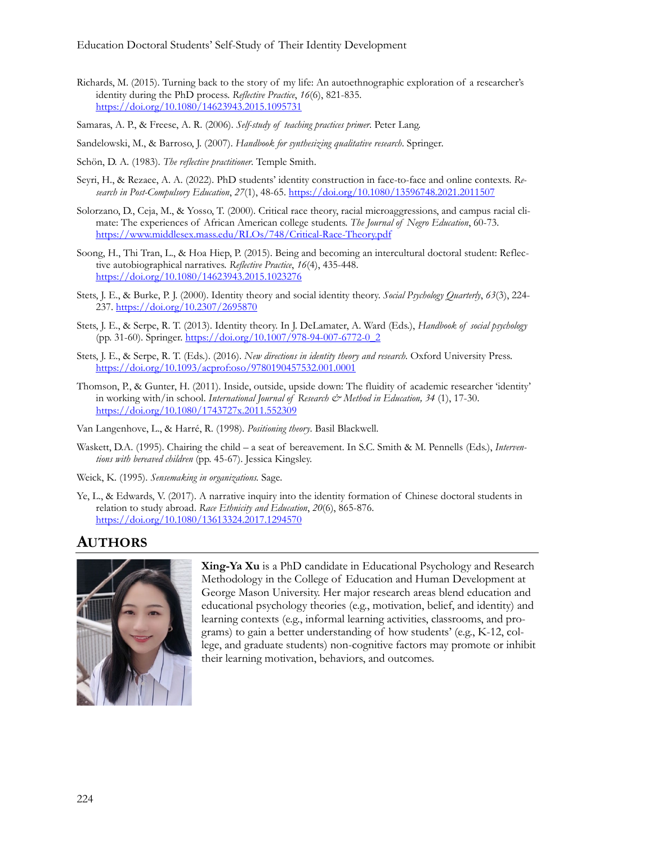- Richards, M. (2015). Turning back to the story of my life: An autoethnographic exploration of a researcher's identity during the PhD process. *Reflective Practice*, *16*(6), 821-835. <https://doi.org/10.1080/14623943.2015.1095731>
- Samaras, A. P., & Freese, A. R. (2006). *Self-study of teaching practices primer*. Peter Lang.
- Sandelowski, M., & Barroso, J. (2007). *Handbook for synthesizing qualitative research*. Springer.
- Schön, D. A. (1983). *The reflective practitioner*. Temple Smith.
- Seyri, H., & Rezaee, A. A. (2022). PhD students' identity construction in face-to-face and online contexts. *Research in Post-Compulsory Education*, *27*(1), 48-65. <https://doi.org/10.1080/13596748.2021.2011507>
- Solorzano, D., Ceja, M., & Yosso, T. (2000). Critical race theory, racial microaggressions, and campus racial climate: The experiences of African American college students. *The Journal of Negro Education*, 60-73. [https://www.middlesex.mass.edu/RLOs/748/Critical](https://www.middlesex.mass.edu/RLOs/748/Critical-Race-Theory.pdf)-Race-Theory.pdf
- Soong, H., Thi Tran, L., & Hoa Hiep, P. (2015). Being and becoming an intercultural doctoral student: Reflective autobiographical narratives. *Reflective Practice*, *16*(4), 435-448. <https://doi.org/10.1080/14623943.2015.1023276>
- Stets, J. E., & Burke, P. J. (2000). Identity theory and social identity theory. *Social Psychology Quarterly*, *63*(3), 224- 237. <https://doi.org/10.2307/2695870>
- Stets, J. E., & Serpe, R. T. (2013). Identity theory. In J. DeLamater, A. Ward (Eds.), *Handbook of social psychology* (pp. 31-60). Springer. [https://doi.org/10.1007/978](https://doi.org/10.1007/978-94-007-6772-0_2)-94-007-6772-0\_2
- Stets, J. E., & Serpe, R. T. (Eds.). (2016). *New directions in identity theory and research*. Oxford University Press. <https://doi.org/10.1093/acprof:oso/9780190457532.001.0001>
- Thomson, P., & Gunter, H. (2011). Inside, outside, upside down: The fluidity of academic researcher 'identity' in working with/in school. *International Journal of Research & Method in Education, 34* (1), 17-30. <https://doi.org/10.1080/1743727x.2011.552309>
- Van Langenhove, L., & Harré, R. (1998). *Positioning theory*. Basil Blackwell.
- Waskett, D.A. (1995). Chairing the child a seat of bereavement. In S.C. Smith & M. Pennells (Eds.), *Interventions with bereaved children* (pp. 45-67). Jessica Kingsley.
- Weick, K. (1995). *Sensemaking in organizations.* Sage.
- Ye, L., & Edwards, V. (2017). A narrative inquiry into the identity formation of Chinese doctoral students in relation to study abroad. *Race Ethnicity and Education*, *20*(6), 865-876. <https://doi.org/10.1080/13613324.2017.1294570>

### **AUTHORS**



**Xing-Ya Xu** is a PhD candidate in Educational Psychology and Research Methodology in the College of Education and Human Development at George Mason University. Her major research areas blend education and educational psychology theories (e.g., motivation, belief, and identity) and learning contexts (e.g., informal learning activities, classrooms, and programs) to gain a better understanding of how students' (e.g., K-12, college, and graduate students) non-cognitive factors may promote or inhibit their learning motivation, behaviors, and outcomes.